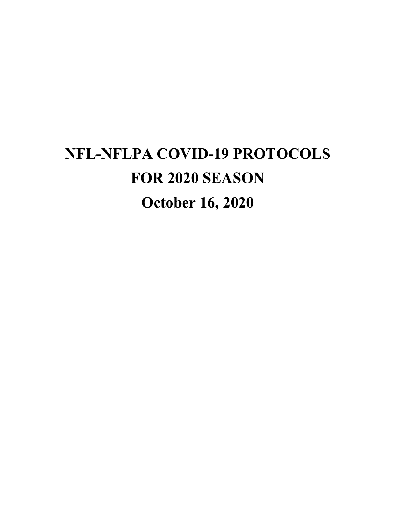# **NFL-NFLPA COVID-19 PROTOCOLS FOR 2020 SEASON October 16, 2020**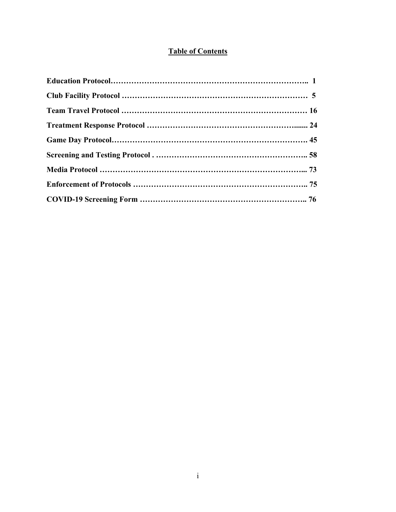# **Table of Contents**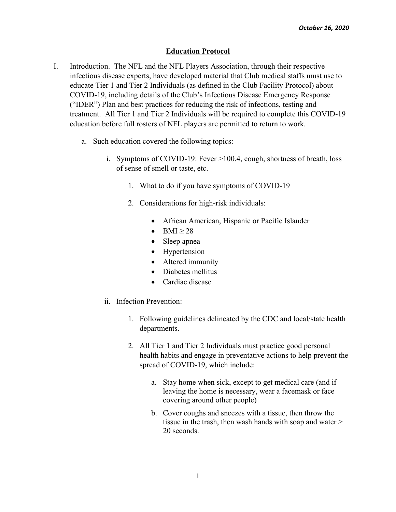# **Education Protocol**

- I. Introduction. The NFL and the NFL Players Association, through their respective infectious disease experts, have developed material that Club medical staffs must use to educate Tier 1 and Tier 2 Individuals (as defined in the Club Facility Protocol) about COVID-19, including details of the Club's Infectious Disease Emergency Response ("IDER") Plan and best practices for reducing the risk of infections, testing and treatment. All Tier 1 and Tier 2 Individuals will be required to complete this COVID-19 education before full rosters of NFL players are permitted to return to work.
	- a. Such education covered the following topics:
		- i. Symptoms of COVID-19: Fever >100.4, cough, shortness of breath, loss of sense of smell or taste, etc.
			- 1. What to do if you have symptoms of COVID-19
			- 2. Considerations for high-risk individuals:
				- African American, Hispanic or Pacific Islander
				- $-BMI \geq 28$
				- Sleep apnea
				- Hypertension
				- Altered immunity
				- Diabetes mellitus
				- Cardiac disease
		- ii. Infection Prevention:
			- 1. Following guidelines delineated by the CDC and local/state health departments.
			- 2. All Tier 1 and Tier 2 Individuals must practice good personal health habits and engage in preventative actions to help prevent the spread of COVID-19, which include:
				- a. Stay home when sick, except to get medical care (and if leaving the home is necessary, wear a facemask or face covering around other people)
				- b. Cover coughs and sneezes with a tissue, then throw the tissue in the trash, then wash hands with soap and water > 20 seconds.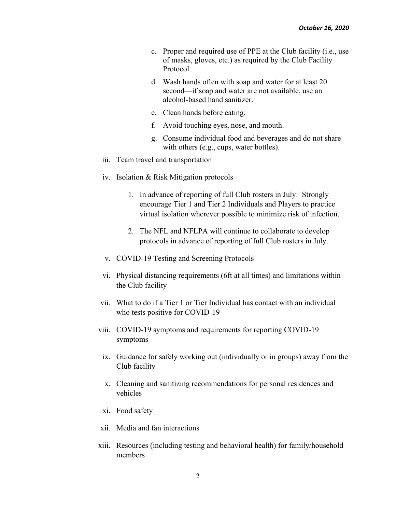- c. Proper and required use of PPE at the Club facility (i.e., use of masks, gloves, etc.) as required by the Club Facility Protocol.
- d. Wash hands often with soap and water for at least 20 second—if soap and water are not available, use an alcohol-based hand sanitizer.
- e. Clean hands before eating.
- f. Avoid touching eyes, nose, and mouth.
- g. Consume individual food and beverages and do not share with others (e.g., cups, water bottles).
- iii. Team travel and transportation
- iv. Isolation & Risk Mitigation protocols
	- 1. In advance of reporting of full Club rosters in July: Strongly encourage Tier 1 and Tier 2 Individuals and Players to practice virtual isolation wherever possible to minimize risk of infection.
	- 2. The NFL and NFLPA will continue to collaborate to develop protocols in advance of reporting of full Club rosters in July.
- v. COVID-19 Testing and Screening Protocols
- vi. Physical distancing requirements (6ft at all times) and limitations within the Club facility
- vii. What to do if a Tier 1 or Tier Individual has contact with an individual who tests positive for COVID-19
- viii. COVID-19 symptoms and requirements for reporting COVID-19 symptoms
	- ix. Guidance for safely working out (individually or in groups) away from the Club facility
	- x. Cleaning and sanitizing recommendations for personal residences and vehicles
- xi. Food safety
- xii. Media and fan interactions
- xiii. Resources (including testing and behavioral health) for family/household members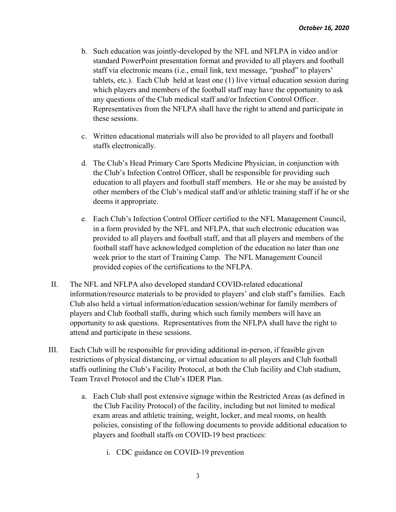- b. Such education was jointly-developed by the NFL and NFLPA in video and/or standard PowerPoint presentation format and provided to all players and football staff via electronic means (i.e., email link, text message, "pushed" to players' tablets, etc.). Each Club held at least one (1) live virtual education session during which players and members of the football staff may have the opportunity to ask any questions of the Club medical staff and/or Infection Control Officer. Representatives from the NFLPA shall have the right to attend and participate in these sessions.
- c. Written educational materials will also be provided to all players and football staffs electronically.
- d. The Club's Head Primary Care Sports Medicine Physician, in conjunction with the Club's Infection Control Officer, shall be responsible for providing such education to all players and football staff members. He or she may be assisted by other members of the Club's medical staff and/or athletic training staff if he or she deems it appropriate.
- e. Each Club's Infection Control Officer certified to the NFL Management Council, in a form provided by the NFL and NFLPA, that such electronic education was provided to all players and football staff, and that all players and members of the football staff have acknowledged completion of the education no later than one week prior to the start of Training Camp. The NFL Management Council provided copies of the certifications to the NFLPA.
- II. The NFL and NFLPA also developed standard COVID-related educational information/resource materials to be provided to players' and club staff's families. Each Club also held a virtual information/education session/webinar for family members of players and Club football staffs, during which such family members will have an opportunity to ask questions. Representatives from the NFLPA shall have the right to attend and participate in these sessions.
- III. Each Club will be responsible for providing additional in-person, if feasible given restrictions of physical distancing, or virtual education to all players and Club football staffs outlining the Club's Facility Protocol, at both the Club facility and Club stadium, Team Travel Protocol and the Club's IDER Plan.
	- a. Each Club shall post extensive signage within the Restricted Areas (as defined in the Club Facility Protocol) of the facility, including but not limited to medical exam areas and athletic training, weight, locker, and meal rooms, on health policies, consisting of the following documents to provide additional education to players and football staffs on COVID-19 best practices:
		- i. CDC guidance on COVID-19 prevention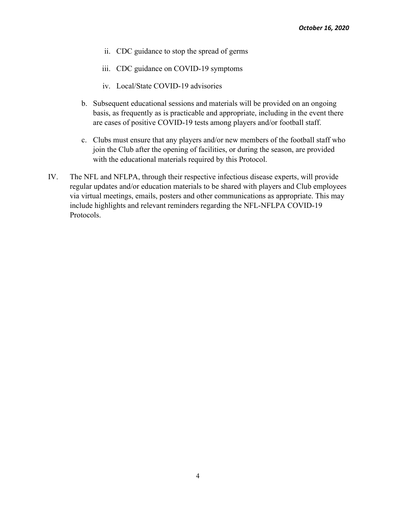- ii. CDC guidance to stop the spread of germs
- iii. CDC guidance on COVID-19 symptoms
- iv. Local/State COVID-19 advisories
- b. Subsequent educational sessions and materials will be provided on an ongoing basis, as frequently as is practicable and appropriate, including in the event there are cases of positive COVID-19 tests among players and/or football staff.
- c. Clubs must ensure that any players and/or new members of the football staff who join the Club after the opening of facilities, or during the season, are provided with the educational materials required by this Protocol.
- IV. The NFL and NFLPA, through their respective infectious disease experts, will provide regular updates and/or education materials to be shared with players and Club employees via virtual meetings, emails, posters and other communications as appropriate. This may include highlights and relevant reminders regarding the NFL-NFLPA COVID-19 Protocols.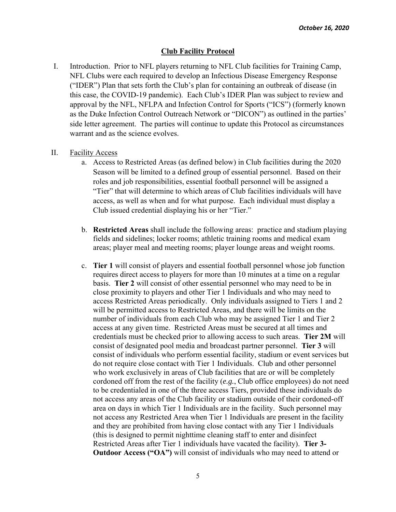## **Club Facility Protocol**

I. Introduction. Prior to NFL players returning to NFL Club facilities for Training Camp, NFL Clubs were each required to develop an Infectious Disease Emergency Response ("IDER") Plan that sets forth the Club's plan for containing an outbreak of disease (in this case, the COVID-19 pandemic). Each Club's IDER Plan was subject to review and approval by the NFL, NFLPA and Infection Control for Sports ("ICS") (formerly known as the Duke Infection Control Outreach Network or "DICON") as outlined in the parties' side letter agreement. The parties will continue to update this Protocol as circumstances warrant and as the science evolves.

#### II. Facility Access

- a. Access to Restricted Areas (as defined below) in Club facilities during the 2020 Season will be limited to a defined group of essential personnel. Based on their roles and job responsibilities, essential football personnel will be assigned a "Tier" that will determine to which areas of Club facilities individuals will have access, as well as when and for what purpose. Each individual must display a Club issued credential displaying his or her "Tier."
- b. **Restricted Areas** shall include the following areas: practice and stadium playing fields and sidelines; locker rooms; athletic training rooms and medical exam areas; player meal and meeting rooms; player lounge areas and weight rooms.
- c. **Tier 1** will consist of players and essential football personnel whose job function requires direct access to players for more than 10 minutes at a time on a regular basis. **Tier 2** will consist of other essential personnel who may need to be in close proximity to players and other Tier 1 Individuals and who may need to access Restricted Areas periodically. Only individuals assigned to Tiers 1 and 2 will be permitted access to Restricted Areas, and there will be limits on the number of individuals from each Club who may be assigned Tier 1 and Tier 2 access at any given time. Restricted Areas must be secured at all times and credentials must be checked prior to allowing access to such areas. **Tier 2M** will consist of designated pool media and broadcast partner personnel. **Tier 3** will consist of individuals who perform essential facility, stadium or event services but do not require close contact with Tier 1 Individuals. Club and other personnel who work exclusively in areas of Club facilities that are or will be completely cordoned off from the rest of the facility (*e.g.*, Club office employees) do not need to be credentialed in one of the three access Tiers, provided these individuals do not access any areas of the Club facility or stadium outside of their cordoned-off area on days in which Tier 1 Individuals are in the facility. Such personnel may not access any Restricted Area when Tier 1 Individuals are present in the facility and they are prohibited from having close contact with any Tier 1 Individuals (this is designed to permit nighttime cleaning staff to enter and disinfect Restricted Areas after Tier 1 individuals have vacated the facility). **Tier 3- Outdoor Access ("OA")** will consist of individuals who may need to attend or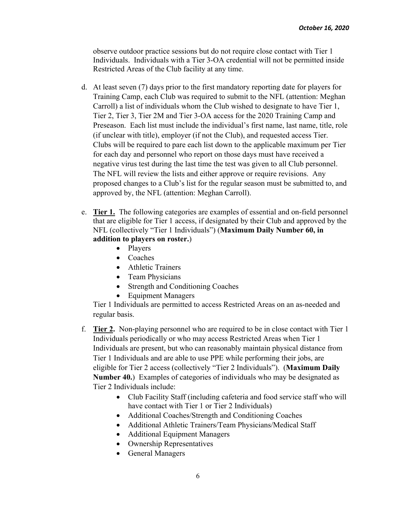observe outdoor practice sessions but do not require close contact with Tier 1 Individuals. Individuals with a Tier 3-OA credential will not be permitted inside Restricted Areas of the Club facility at any time.

- d. At least seven (7) days prior to the first mandatory reporting date for players for Training Camp, each Club was required to submit to the NFL (attention: Meghan Carroll) a list of individuals whom the Club wished to designate to have Tier 1, Tier 2, Tier 3, Tier 2M and Tier 3-OA access for the 2020 Training Camp and Preseason. Each list must include the individual's first name, last name, title, role (if unclear with title), employer (if not the Club), and requested access Tier. Clubs will be required to pare each list down to the applicable maximum per Tier for each day and personnel who report on those days must have received a negative virus test during the last time the test was given to all Club personnel. The NFL will review the lists and either approve or require revisions. Any proposed changes to a Club's list for the regular season must be submitted to, and approved by, the NFL (attention: Meghan Carroll).
- e. **Tier 1.** The following categories are examples of essential and on-field personnel that are eligible for Tier 1 access, if designated by their Club and approved by the NFL (collectively "Tier 1 Individuals") (**Maximum Daily Number 60, in addition to players on roster.**)
	- Players
	- Coaches
	- Athletic Trainers
	- Team Physicians
	- Strength and Conditioning Coaches
	- Equipment Managers

Tier 1 Individuals are permitted to access Restricted Areas on an as-needed and regular basis.

- f. **Tier 2.** Non-playing personnel who are required to be in close contact with Tier 1 Individuals periodically or who may access Restricted Areas when Tier 1 Individuals are present, but who can reasonably maintain physical distance from Tier 1 Individuals and are able to use PPE while performing their jobs, are eligible for Tier 2 access (collectively "Tier 2 Individuals"). (**Maximum Daily Number 40.**) Examples of categories of individuals who may be designated as Tier 2 Individuals include:
	- Club Facility Staff (including cafeteria and food service staff who will have contact with Tier 1 or Tier 2 Individuals)
	- Additional Coaches/Strength and Conditioning Coaches
	- Additional Athletic Trainers/Team Physicians/Medical Staff
	- Additional Equipment Managers
	- Ownership Representatives
	- General Managers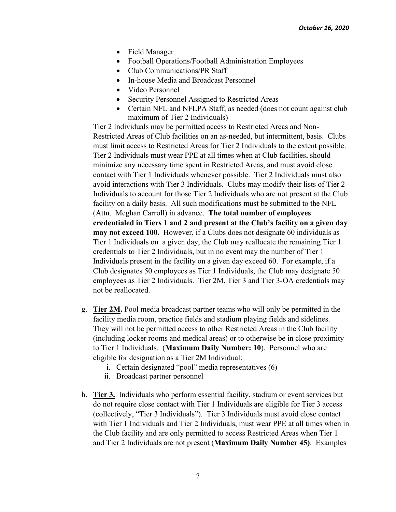- Field Manager
- Football Operations/Football Administration Employees
- Club Communications/PR Staff
- In-house Media and Broadcast Personnel
- Video Personnel
- Security Personnel Assigned to Restricted Areas
- Certain NFL and NFLPA Staff, as needed (does not count against club maximum of Tier 2 Individuals)

Tier 2 Individuals may be permitted access to Restricted Areas and Non-Restricted Areas of Club facilities on an as-needed, but intermittent, basis. Clubs must limit access to Restricted Areas for Tier 2 Individuals to the extent possible. Tier 2 Individuals must wear PPE at all times when at Club facilities, should minimize any necessary time spent in Restricted Areas, and must avoid close contact with Tier 1 Individuals whenever possible. Tier 2 Individuals must also avoid interactions with Tier 3 Individuals. Clubs may modify their lists of Tier 2 Individuals to account for those Tier 2 Individuals who are not present at the Club facility on a daily basis. All such modifications must be submitted to the NFL (Attn. Meghan Carroll) in advance. **The total number of employees credentialed in Tiers 1 and 2 and present at the Club's facility on a given day may not exceed 100.** However, if a Clubs does not designate 60 individuals as Tier 1 Individuals on a given day, the Club may reallocate the remaining Tier 1 credentials to Tier 2 Individuals, but in no event may the number of Tier 1 Individuals present in the facility on a given day exceed 60. For example, if a Club designates 50 employees as Tier 1 Individuals, the Club may designate 50 employees as Tier 2 Individuals. Tier 2M, Tier 3 and Tier 3-OA credentials may not be reallocated.

- g. **Tier 2M.** Pool media broadcast partner teams who will only be permitted in the facility media room, practice fields and stadium playing fields and sidelines. They will not be permitted access to other Restricted Areas in the Club facility (including locker rooms and medical areas) or to otherwise be in close proximity to Tier 1 Individuals. (**Maximum Daily Number: 10**). Personnel who are eligible for designation as a Tier 2M Individual:
	- i. Certain designated "pool" media representatives (6)
	- ii. Broadcast partner personnel
- h. **Tier 3.** Individuals who perform essential facility, stadium or event services but do not require close contact with Tier 1 Individuals are eligible for Tier 3 access (collectively, "Tier 3 Individuals"). Tier 3 Individuals must avoid close contact with Tier 1 Individuals and Tier 2 Individuals, must wear PPE at all times when in the Club facility and are only permitted to access Restricted Areas when Tier 1 and Tier 2 Individuals are not present (**Maximum Daily Number 45)**. Examples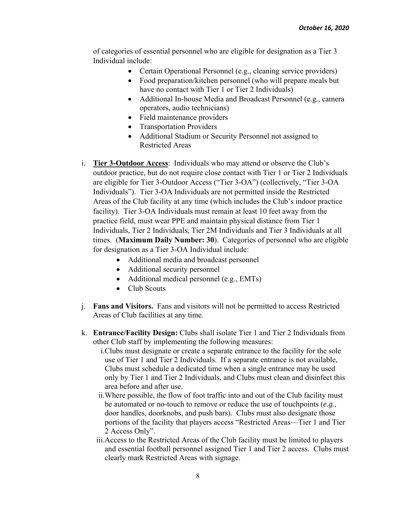of categories of essential personnel who are eligible for designation as a Tier 3 Individual include:

- Certain Operational Personnel (e.g., cleaning service providers)
- Food preparation/kitchen personnel (who will prepare meals but have no contact with Tier 1 or Tier 2 Individuals)
- Additional In-house Media and Broadcast Personnel (e.g., camera operators, audio technicians)
- Field maintenance providers
- Transportation Providers
- Additional Stadium or Security Personnel not assigned to Restricted Areas
- i. **Tier 3-Outdoor Access**: Individuals who may attend or observe the Club's outdoor practice, but do not require close contact with Tier 1 or Tier 2 Individuals are eligible for Tier 3-Outdoor Access ("Tier 3-OA") (collectively, "Tier 3-OA Individuals"). Tier 3-OA Individuals are not permitted inside the Restricted Areas of the Club facility at any time (which includes the Club's indoor practice facility). Tier 3-OA Individuals must remain at least 10 feet away from the practice field, must wear PPE and maintain physical distance from Tier 1 Individuals, Tier 2 Individuals, Tier 2M Individuals and Tier 3 Individuals at all times. (**Maximum Daily Number: 30**). Categories of personnel who are eligible for designation as a Tier 3-OA Individual include:
	- Additional media and broadcast personnel
	- Additional security personnel
	- Additional medical personnel (e.g., EMTs)
	- Club Scouts
- j. **Fans and Visitors.** Fans and visitors will not be permitted to access Restricted Areas of Club facilities at any time.
- k. **Entrance/Facility Design:** Clubs shall isolate Tier 1 and Tier 2 Individuals from other Club staff by implementing the following measures:
	- i.Clubs must designate or create a separate entrance to the facility for the sole use of Tier 1 and Tier 2 Individuals. If a separate entrance is not available, Clubs must schedule a dedicated time when a single entrance may be used only by Tier 1 and Tier 2 Individuals, and Clubs must clean and disinfect this area before and after use.
	- ii.Where possible, the flow of foot traffic into and out of the Club facility must be automated or no-touch to remove or reduce the use of touchpoints (*e.g.*, door handles, doorknobs, and push bars). Clubs must also designate those portions of the facility that players access "Restricted Areas—Tier 1 and Tier 2 Access Only".
	- iii.Access to the Restricted Areas of the Club facility must be limited to players and essential football personnel assigned Tier 1 and Tier 2 access. Clubs must clearly mark Restricted Areas with signage.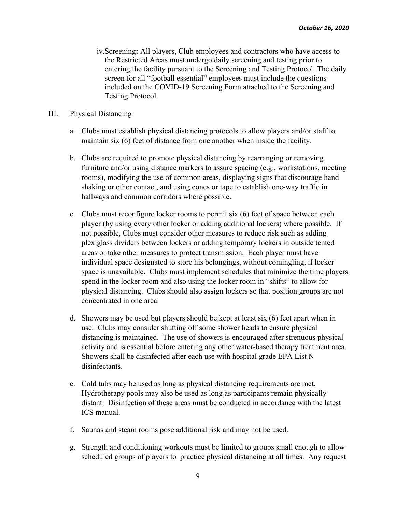iv.Screening**:** All players, Club employees and contractors who have access to the Restricted Areas must undergo daily screening and testing prior to entering the facility pursuant to the Screening and Testing Protocol. The daily screen for all "football essential" employees must include the questions included on the COVID-19 Screening Form attached to the Screening and Testing Protocol.

#### III. Physical Distancing

- a. Clubs must establish physical distancing protocols to allow players and/or staff to maintain six (6) feet of distance from one another when inside the facility.
- b. Clubs are required to promote physical distancing by rearranging or removing furniture and/or using distance markers to assure spacing (e.g., workstations, meeting rooms), modifying the use of common areas, displaying signs that discourage hand shaking or other contact, and using cones or tape to establish one-way traffic in hallways and common corridors where possible.
- c. Clubs must reconfigure locker rooms to permit six (6) feet of space between each player (by using every other locker or adding additional lockers) where possible. If not possible, Clubs must consider other measures to reduce risk such as adding plexiglass dividers between lockers or adding temporary lockers in outside tented areas or take other measures to protect transmission. Each player must have individual space designated to store his belongings, without comingling, if locker space is unavailable. Clubs must implement schedules that minimize the time players spend in the locker room and also using the locker room in "shifts" to allow for physical distancing. Clubs should also assign lockers so that position groups are not concentrated in one area.
- d. Showers may be used but players should be kept at least six (6) feet apart when in use. Clubs may consider shutting off some shower heads to ensure physical distancing is maintained. The use of showers is encouraged after strenuous physical activity and is essential before entering any other water-based therapy treatment area. Showers shall be disinfected after each use with hospital grade EPA List N disinfectants.
- e. Cold tubs may be used as long as physical distancing requirements are met. Hydrotherapy pools may also be used as long as participants remain physically distant. Disinfection of these areas must be conducted in accordance with the latest ICS manual.
- f. Saunas and steam rooms pose additional risk and may not be used.
- g. Strength and conditioning workouts must be limited to groups small enough to allow scheduled groups of players to practice physical distancing at all times. Any request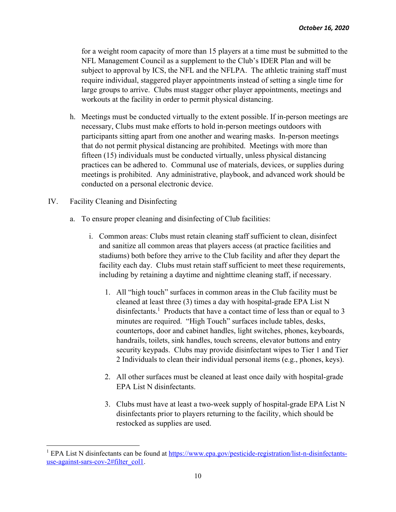for a weight room capacity of more than 15 players at a time must be submitted to the NFL Management Council as a supplement to the Club's IDER Plan and will be subject to approval by ICS, the NFL and the NFLPA. The athletic training staff must require individual, staggered player appointments instead of setting a single time for large groups to arrive. Clubs must stagger other player appointments, meetings and workouts at the facility in order to permit physical distancing.

- h. Meetings must be conducted virtually to the extent possible. If in-person meetings are necessary, Clubs must make efforts to hold in-person meetings outdoors with participants sitting apart from one another and wearing masks.In-person meetings that do not permit physical distancing are prohibited. Meetings with more than fifteen (15) individuals must be conducted virtually, unless physical distancing practices can be adhered to.Communal use of materials, devices, or supplies during meetings is prohibited. Any administrative, playbook, and advanced work should be conducted on a personal electronic device.
- IV. Facility Cleaning and Disinfecting
	- a. To ensure proper cleaning and disinfecting of Club facilities:
		- i. Common areas: Clubs must retain cleaning staff sufficient to clean, disinfect and sanitize all common areas that players access (at practice facilities and stadiums) both before they arrive to the Club facility and after they depart the facility each day. Clubs must retain staff sufficient to meet these requirements, including by retaining a daytime and nighttime cleaning staff, if necessary.
			- 1. All "high touch" surfaces in common areas in the Club facility must be cleaned at least three (3) times a day with hospital-grade EPA List N disinfectants.<sup>1</sup> Products that have a contact time of less than or equal to 3 minutes are required. "High Touch" surfaces include tables, desks, countertops, door and cabinet handles, light switches, phones, keyboards, handrails, toilets, sink handles, touch screens, elevator buttons and entry security keypads. Clubs may provide disinfectant wipes to Tier 1 and Tier 2 Individuals to clean their individual personal items (e.g., phones, keys).
			- 2. All other surfaces must be cleaned at least once daily with hospital-grade EPA List N disinfectants.
			- 3. Clubs must have at least a two-week supply of hospital-grade EPA List N disinfectants prior to players returning to the facility, which should be restocked as supplies are used.

<sup>&</sup>lt;sup>1</sup> EPA List N disinfectants can be found at https://www.epa.gov/pesticide-registration/list-n-disinfectantsuse-against-sars-cov-2#filter\_col1.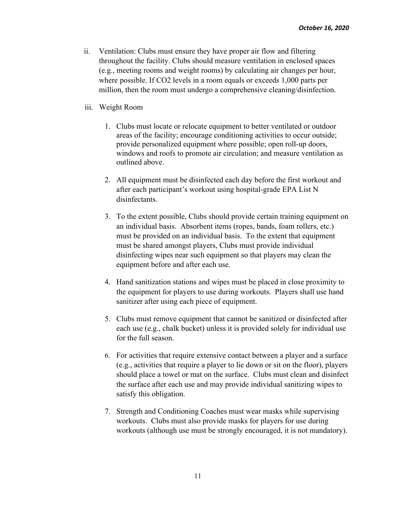ii. Ventilation: Clubs must ensure they have proper air flow and filtering throughout the facility. Clubs should measure ventilation in enclosed spaces (e.g., meeting rooms and weight rooms) by calculating air changes per hour, where possible. If CO2 levels in a room equals or exceeds 1,000 parts per million, then the room must undergo a comprehensive cleaning/disinfection.

#### iii. Weight Room

- 1. Clubs must locate or relocate equipment to better ventilated or outdoor areas of the facility; encourage conditioning activities to occur outside; provide personalized equipment where possible; open roll-up doors, windows and roofs to promote air circulation; and measure ventilation as outlined above.
- 2. All equipment must be disinfected each day before the first workout and after each participant's workout using hospital-grade EPA List N disinfectants.
- 3. To the extent possible, Clubs should provide certain training equipment on an individual basis. Absorbent items (ropes, bands, foam rollers, etc.) must be provided on an individual basis. To the extent that equipment must be shared amongst players, Clubs must provide individual disinfecting wipes near such equipment so that players may clean the equipment before and after each use.
- 4. Hand sanitization stations and wipes must be placed in close proximity to the equipment for players to use during workouts. Players shall use hand sanitizer after using each piece of equipment.
- 5. Clubs must remove equipment that cannot be sanitized or disinfected after each use (e.g., chalk bucket) unless it is provided solely for individual use for the full season.
- 6. For activities that require extensive contact between a player and a surface (e.g., activities that require a player to lie down or sit on the floor), players should place a towel or mat on the surface. Clubs must clean and disinfect the surface after each use and may provide individual sanitizing wipes to satisfy this obligation.
- 7. Strength and Conditioning Coaches must wear masks while supervising workouts. Clubs must also provide masks for players for use during workouts (although use must be strongly encouraged, it is not mandatory).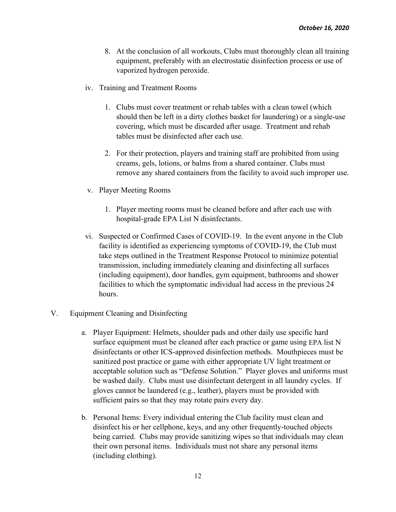- 8. At the conclusion of all workouts, Clubs must thoroughly clean all training equipment, preferably with an electrostatic disinfection process or use of vaporized hydrogen peroxide.
- iv. Training and Treatment Rooms
	- 1. Clubs must cover treatment or rehab tables with a clean towel (which should then be left in a dirty clothes basket for laundering) or a single-use covering, which must be discarded after usage. Treatment and rehab tables must be disinfected after each use.
	- 2. For their protection, players and training staff are prohibited from using creams, gels, lotions, or balms from a shared container. Clubs must remove any shared containers from the facility to avoid such improper use.
- v. Player Meeting Rooms
	- 1. Player meeting rooms must be cleaned before and after each use with hospital-grade EPA List N disinfectants.
- vi. Suspected or Confirmed Cases of COVID-19. In the event anyone in the Club facility is identified as experiencing symptoms of COVID-19, the Club must take steps outlined in the Treatment Response Protocol to minimize potential transmission, including immediately cleaning and disinfecting all surfaces (including equipment), door handles, gym equipment, bathrooms and shower facilities to which the symptomatic individual had access in the previous 24 hours.
- V. Equipment Cleaning and Disinfecting
	- a. Player Equipment: Helmets, shoulder pads and other daily use specific hard surface equipment must be cleaned after each practice or game using EPA list N disinfectants or other ICS-approved disinfection methods. Mouthpieces must be sanitized post practice or game with either appropriate UV light treatment or acceptable solution such as "Defense Solution." Player gloves and uniforms must be washed daily. Clubs must use disinfectant detergent in all laundry cycles. If gloves cannot be laundered (e.g., leather), players must be provided with sufficient pairs so that they may rotate pairs every day.
	- b. Personal Items: Every individual entering the Club facility must clean and disinfect his or her cellphone, keys, and any other frequently-touched objects being carried. Clubs may provide sanitizing wipes so that individuals may clean their own personal items. Individuals must not share any personal items (including clothing).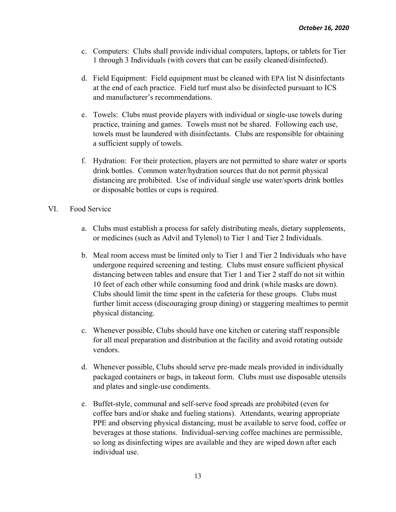- c. Computers: Clubs shall provide individual computers, laptops, or tablets for Tier 1 through 3 Individuals (with covers that can be easily cleaned/disinfected).
- d. Field Equipment: Field equipment must be cleaned with EPA list N disinfectants at the end of each practice. Field turf must also be disinfected pursuant to ICS and manufacturer's recommendations.
- e. Towels: Clubs must provide players with individual or single-use towels during practice, training and games. Towels must not be shared. Following each use, towels must be laundered with disinfectants. Clubs are responsible for obtaining a sufficient supply of towels.
- f. Hydration: For their protection, players are not permitted to share water or sports drink bottles. Common water/hydration sources that do not permit physical distancing are prohibited. Use of individual single use water/sports drink bottles or disposable bottles or cups is required.
- VI. Food Service
	- a. Clubs must establish a process for safely distributing meals, dietary supplements, or medicines (such as Advil and Tylenol) to Tier 1 and Tier 2 Individuals.
	- b. Meal room access must be limited only to Tier 1 and Tier 2 Individuals who have undergone required screening and testing. Clubs must ensure sufficient physical distancing between tables and ensure that Tier 1 and Tier 2 staff do not sit within 10 feet of each other while consuming food and drink (while masks are down). Clubs should limit the time spent in the cafeteria for these groups. Clubs must further limit access (discouraging group dining) or staggering mealtimes to permit physical distancing.
	- c. Whenever possible, Clubs should have one kitchen or catering staff responsible for all meal preparation and distribution at the facility and avoid rotating outside vendors.
	- d. Whenever possible, Clubs should serve pre-made meals provided in individually packaged containers or bags, in takeout form. Clubs must use disposable utensils and plates and single-use condiments.
	- e. Buffet-style, communal and self-serve food spreads are prohibited (even for coffee bars and/or shake and fueling stations). Attendants, wearing appropriate PPE and observing physical distancing, must be available to serve food, coffee or beverages at those stations. Individual-serving coffee machines are permissible, so long as disinfecting wipes are available and they are wiped down after each individual use.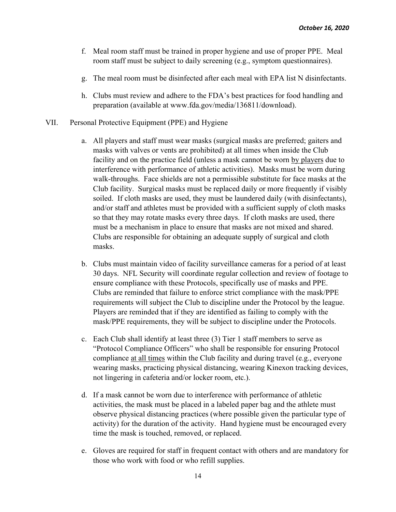- f. Meal room staff must be trained in proper hygiene and use of proper PPE. Meal room staff must be subject to daily screening (e.g., symptom questionnaires).
- g. The meal room must be disinfected after each meal with EPA list N disinfectants.
- h. Clubs must review and adhere to the FDA's best practices for food handling and preparation (available at www.fda.gov/media/136811/download).
- VII. Personal Protective Equipment (PPE) and Hygiene
	- a. All players and staff must wear masks (surgical masks are preferred; gaiters and masks with valves or vents are prohibited) at all times when inside the Club facility and on the practice field (unless a mask cannot be worn by players due to interference with performance of athletic activities). Masks must be worn during walk-throughs. Face shields are not a permissible substitute for face masks at the Club facility. Surgical masks must be replaced daily or more frequently if visibly soiled. If cloth masks are used, they must be laundered daily (with disinfectants), and/or staff and athletes must be provided with a sufficient supply of cloth masks so that they may rotate masks every three days. If cloth masks are used, there must be a mechanism in place to ensure that masks are not mixed and shared. Clubs are responsible for obtaining an adequate supply of surgical and cloth masks.
	- b. Clubs must maintain video of facility surveillance cameras for a period of at least 30 days. NFL Security will coordinate regular collection and review of footage to ensure compliance with these Protocols, specifically use of masks and PPE. Clubs are reminded that failure to enforce strict compliance with the mask/PPE requirements will subject the Club to discipline under the Protocol by the league. Players are reminded that if they are identified as failing to comply with the mask/PPE requirements, they will be subject to discipline under the Protocols.
	- c. Each Club shall identify at least three (3) Tier 1 staff members to serve as "Protocol Compliance Officers" who shall be responsible for ensuring Protocol compliance at all times within the Club facility and during travel (e.g., everyone wearing masks, practicing physical distancing, wearing Kinexon tracking devices, not lingering in cafeteria and/or locker room, etc.).
	- d. If a mask cannot be worn due to interference with performance of athletic activities, the mask must be placed in a labeled paper bag and the athlete must observe physical distancing practices (where possible given the particular type of activity) for the duration of the activity. Hand hygiene must be encouraged every time the mask is touched, removed, or replaced.
	- e. Gloves are required for staff in frequent contact with others and are mandatory for those who work with food or who refill supplies.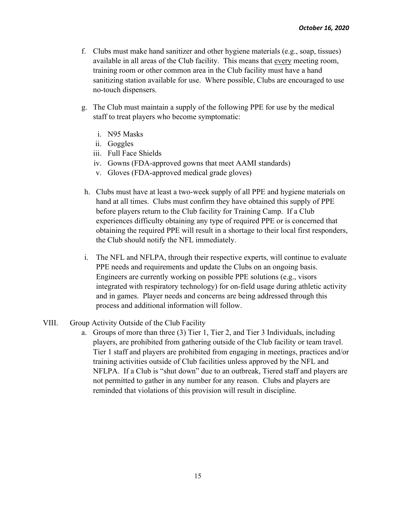- f. Clubs must make hand sanitizer and other hygiene materials (e.g., soap, tissues) available in all areas of the Club facility. This means that every meeting room, training room or other common area in the Club facility must have a hand sanitizing station available for use. Where possible, Clubs are encouraged to use no-touch dispensers.
- g. The Club must maintain a supply of the following PPE for use by the medical staff to treat players who become symptomatic:
	- i. N95 Masks
	- ii. Goggles
	- iii. Full Face Shields
	- iv. Gowns (FDA-approved gowns that meet AAMI standards)
	- v. Gloves (FDA-approved medical grade gloves)
- h. Clubs must have at least a two-week supply of all PPE and hygiene materials on hand at all times. Clubs must confirm they have obtained this supply of PPE before players return to the Club facility for Training Camp. If a Club experiences difficulty obtaining any type of required PPE or is concerned that obtaining the required PPE will result in a shortage to their local first responders, the Club should notify the NFL immediately.
- i. The NFL and NFLPA, through their respective experts, will continue to evaluate PPE needs and requirements and update the Clubs on an ongoing basis. Engineers are currently working on possible PPE solutions (e.g., visors integrated with respiratory technology) for on-field usage during athletic activity and in games. Player needs and concerns are being addressed through this process and additional information will follow.

#### VIII. Group Activity Outside of the Club Facility

a. Groups of more than three (3) Tier 1, Tier 2, and Tier 3 Individuals, including players, are prohibited from gathering outside of the Club facility or team travel. Tier 1 staff and players are prohibited from engaging in meetings, practices and/or training activities outside of Club facilities unless approved by the NFL and NFLPA. If a Club is "shut down" due to an outbreak, Tiered staff and players are not permitted to gather in any number for any reason. Clubs and players are reminded that violations of this provision will result in discipline.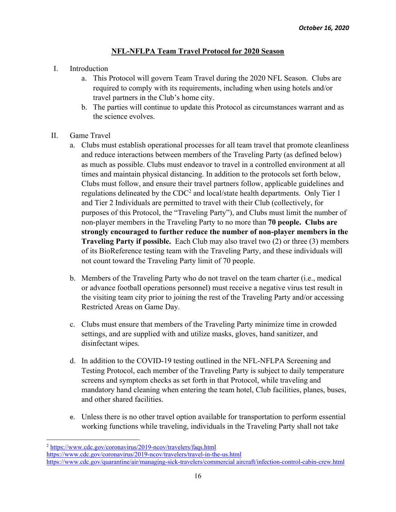## **NFL-NFLPA Team Travel Protocol for 2020 Season**

- I. Introduction
	- a. This Protocol will govern Team Travel during the 2020 NFL Season. Clubs are required to comply with its requirements, including when using hotels and/or travel partners in the Club's home city.
	- b. The parties will continue to update this Protocol as circumstances warrant and as the science evolves.
- II. Game Travel
	- a. Clubs must establish operational processes for all team travel that promote cleanliness and reduce interactions between members of the Traveling Party (as defined below) as much as possible. Clubs must endeavor to travel in a controlled environment at all times and maintain physical distancing. In addition to the protocols set forth below, Clubs must follow, and ensure their travel partners follow, applicable guidelines and regulations delineated by the CDC<sup>2</sup> and local/state health departments. Only Tier 1 and Tier 2 Individuals are permitted to travel with their Club (collectively, for purposes of this Protocol, the "Traveling Party"), and Clubs must limit the number of non-player members in the Traveling Party to no more than **70 people. Clubs are strongly encouraged to further reduce the number of non-player members in the Traveling Party if possible.** Each Club may also travel two (2) or three (3) members of its BioReference testing team with the Traveling Party, and these individuals will not count toward the Traveling Party limit of 70 people.
	- b. Members of the Traveling Party who do not travel on the team charter (i.e., medical or advance football operations personnel) must receive a negative virus test result in the visiting team city prior to joining the rest of the Traveling Party and/or accessing Restricted Areas on Game Day.
	- c. Clubs must ensure that members of the Traveling Party minimize time in crowded settings, and are supplied with and utilize masks, gloves, hand sanitizer, and disinfectant wipes.
	- d. In addition to the COVID-19 testing outlined in the NFL-NFLPA Screening and Testing Protocol, each member of the Traveling Party is subject to daily temperature screens and symptom checks as set forth in that Protocol, while traveling and mandatory hand cleaning when entering the team hotel, Club facilities, planes, buses, and other shared facilities.
	- e. Unless there is no other travel option available for transportation to perform essential working functions while traveling, individuals in the Traveling Party shall not take

<sup>2</sup> https://www.cdc.gov/coronavirus/2019-ncov/travelers/faqs.html https://www.cdc.gov/coronavirus/2019-ncov/travelers/travel-in-the-us.html https://www.cdc.gov/quarantine/air/managing-sick-travelers/commercial aircraft/infection-control-cabin-crew.html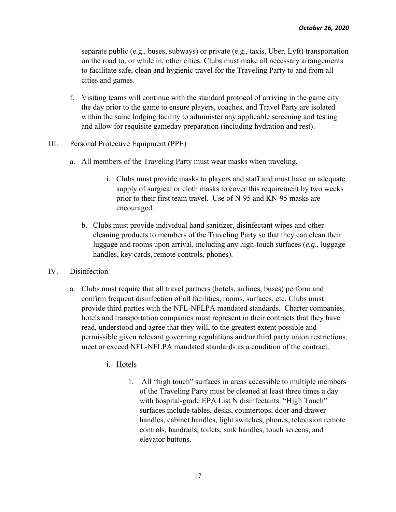separate public (e.g., buses, subways) or private (e.g., taxis, Uber, Lyft) transportation on the road to, or while in, other cities. Clubs must make all necessary arrangements to facilitate safe, clean and hygienic travel for the Traveling Party to and from all cities and games.

- f. Visiting teams will continue with the standard protocol of arriving in the game city the day prior to the game to ensure players, coaches, and Travel Party are isolated within the same lodging facility to administer any applicable screening and testing and allow for requisite gameday preparation (including hydration and rest).
- III. Personal Protective Equipment (PPE)
	- a. All members of the Traveling Party must wear masks when traveling.
		- i. Clubs must provide masks to players and staff and must have an adequate supply of surgical or cloth masks to cover this requirement by two weeks prior to their first team travel. Use of N-95 and KN-95 masks are encouraged.
		- b. Clubs must provide individual hand sanitizer, disinfectant wipes and other cleaning products to members of the Traveling Party so that they can clean their luggage and rooms upon arrival, including any high-touch surfaces (*e.g*., luggage handles, key cards, remote controls, phones).
- IV. Disinfection
	- a. Clubs must require that all travel partners (hotels, airlines, buses) perform and confirm frequent disinfection of all facilities, rooms, surfaces, etc. Clubs must provide third parties with the NFL-NFLPA mandated standards. Charter companies, hotels and transportation companies must represent in their contracts that they have read, understood and agree that they will, to the greatest extent possible and permissible given relevant governing regulations and/or third party union restrictions, meet or exceed NFL-NFLPA mandated standards as a condition of the contract.
		- i. Hotels
			- 1. All "high touch" surfaces in areas accessible to multiple members of the Traveling Party must be cleaned at least three times a day with hospital-grade EPA List N disinfectants. "High Touch" surfaces include tables, desks, countertops, door and drawer handles, cabinet handles, light switches, phones, television remote controls, handrails, toilets, sink handles, touch screens, and elevator buttons.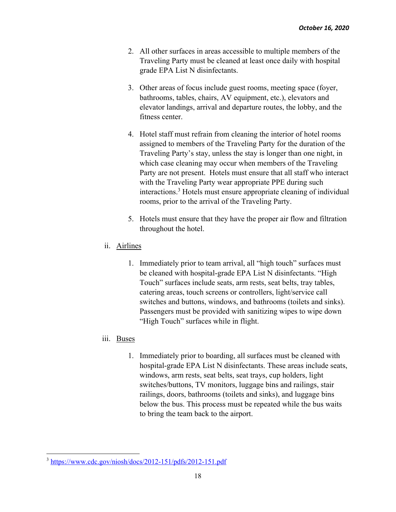- 2. All other surfaces in areas accessible to multiple members of the Traveling Party must be cleaned at least once daily with hospital grade EPA List N disinfectants.
- 3. Other areas of focus include guest rooms, meeting space (foyer, bathrooms, tables, chairs, AV equipment, etc.), elevators and elevator landings, arrival and departure routes, the lobby, and the fitness center.
- 4. Hotel staff must refrain from cleaning the interior of hotel rooms assigned to members of the Traveling Party for the duration of the Traveling Party's stay, unless the stay is longer than one night, in which case cleaning may occur when members of the Traveling Party are not present. Hotels must ensure that all staff who interact with the Traveling Party wear appropriate PPE during such interactions.3 Hotels must ensure appropriate cleaning of individual rooms, prior to the arrival of the Traveling Party.
- 5. Hotels must ensure that they have the proper air flow and filtration throughout the hotel.

# ii. Airlines

1. Immediately prior to team arrival, all "high touch" surfaces must be cleaned with hospital-grade EPA List N disinfectants. "High Touch" surfaces include seats, arm rests, seat belts, tray tables, catering areas, touch screens or controllers, light/service call switches and buttons, windows, and bathrooms (toilets and sinks). Passengers must be provided with sanitizing wipes to wipe down "High Touch" surfaces while in flight.

# iii. Buses

1. Immediately prior to boarding, all surfaces must be cleaned with hospital-grade EPA List N disinfectants. These areas include seats, windows, arm rests, seat belts, seat trays, cup holders, light switches/buttons, TV monitors, luggage bins and railings, stair railings, doors, bathrooms (toilets and sinks), and luggage bins below the bus. This process must be repeated while the bus waits to bring the team back to the airport.

<sup>3</sup> https://www.cdc.gov/niosh/docs/2012-151/pdfs/2012-151.pdf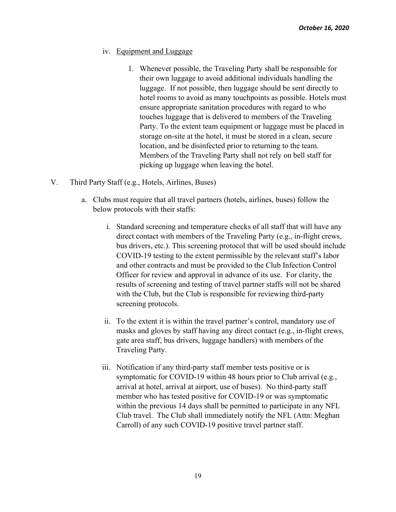- iv. Equipment and Luggage
	- 1. Whenever possible, the Traveling Party shall be responsible for their own luggage to avoid additional individuals handling the luggage. If not possible, then luggage should be sent directly to hotel rooms to avoid as many touchpoints as possible. Hotels must ensure appropriate sanitation procedures with regard to who touches luggage that is delivered to members of the Traveling Party. To the extent team equipment or luggage must be placed in storage on-site at the hotel, it must be stored in a clean, secure location, and be disinfected prior to returning to the team. Members of the Traveling Party shall not rely on bell staff for picking up luggage when leaving the hotel.
- V. Third Party Staff (e.g., Hotels, Airlines, Buses)
	- a. Clubs must require that all travel partners (hotels, airlines, buses) follow the below protocols with their staffs:
		- i. Standard screening and temperature checks of all staff that will have any direct contact with members of the Traveling Party (e.g., in-flight crews, bus drivers, etc.). This screening protocol that will be used should include COVID-19 testing to the extent permissible by the relevant staff's labor and other contracts and must be provided to the Club Infection Control Officer for review and approval in advance of its use. For clarity, the results of screening and testing of travel partner staffs will not be shared with the Club, but the Club is responsible for reviewing third-party screening protocols.
		- ii. To the extent it is within the travel partner's control, mandatory use of masks and gloves by staff having any direct contact (e.g., in-flight crews, gate area staff, bus drivers, luggage handlers) with members of the Traveling Party.
		- iii. Notification if any third-party staff member tests positive or is symptomatic for COVID-19 within 48 hours prior to Club arrival (e.g., arrival at hotel, arrival at airport, use of buses). No third-party staff member who has tested positive for COVID-19 or was symptomatic within the previous 14 days shall be permitted to participate in any NFL Club travel. The Club shall immediately notify the NFL (Attn: Meghan Carroll) of any such COVID-19 positive travel partner staff.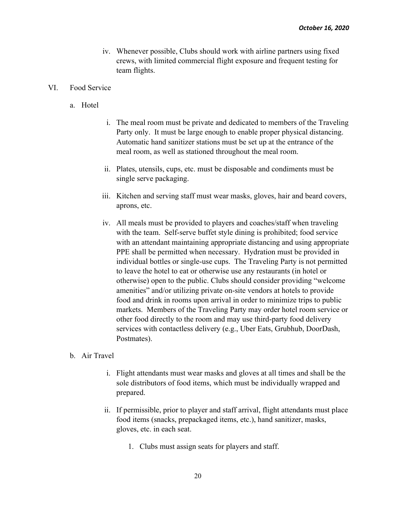iv. Whenever possible, Clubs should work with airline partners using fixed crews, with limited commercial flight exposure and frequent testing for team flights.

#### VI. Food Service

- a. Hotel
- i. The meal room must be private and dedicated to members of the Traveling Party only. It must be large enough to enable proper physical distancing. Automatic hand sanitizer stations must be set up at the entrance of the meal room, as well as stationed throughout the meal room.
- ii. Plates, utensils, cups, etc. must be disposable and condiments must be single serve packaging.
- iii. Kitchen and serving staff must wear masks, gloves, hair and beard covers, aprons, etc.
- iv. All meals must be provided to players and coaches/staff when traveling with the team. Self-serve buffet style dining is prohibited; food service with an attendant maintaining appropriate distancing and using appropriate PPE shall be permitted when necessary. Hydration must be provided in individual bottles or single-use cups. The Traveling Party is not permitted to leave the hotel to eat or otherwise use any restaurants (in hotel or otherwise) open to the public. Clubs should consider providing "welcome amenities" and/or utilizing private on-site vendors at hotels to provide food and drink in rooms upon arrival in order to minimize trips to public markets. Members of the Traveling Party may order hotel room service or other food directly to the room and may use third-party food delivery services with contactless delivery (e.g., Uber Eats, Grubhub, DoorDash, Postmates).

#### b. Air Travel

- i. Flight attendants must wear masks and gloves at all times and shall be the sole distributors of food items, which must be individually wrapped and prepared.
- ii. If permissible, prior to player and staff arrival, flight attendants must place food items (snacks, prepackaged items, etc.), hand sanitizer, masks, gloves, etc. in each seat.
	- 1. Clubs must assign seats for players and staff.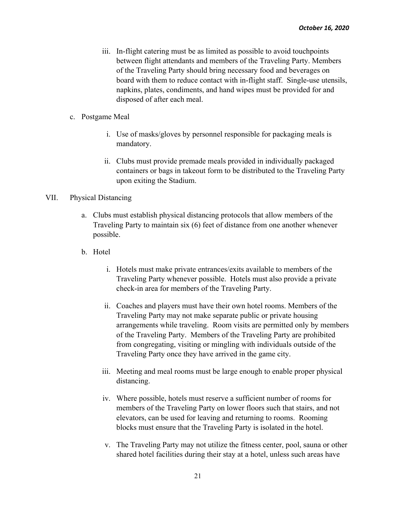- iii. In-flight catering must be as limited as possible to avoid touchpoints between flight attendants and members of the Traveling Party. Members of the Traveling Party should bring necessary food and beverages on board with them to reduce contact with in-flight staff. Single-use utensils, napkins, plates, condiments, and hand wipes must be provided for and disposed of after each meal.
- c. Postgame Meal
	- i. Use of masks/gloves by personnel responsible for packaging meals is mandatory.
	- ii. Clubs must provide premade meals provided in individually packaged containers or bags in takeout form to be distributed to the Traveling Party upon exiting the Stadium.

## VII. Physical Distancing

- a. Clubs must establish physical distancing protocols that allow members of the Traveling Party to maintain six (6) feet of distance from one another whenever possible.
- b. Hotel
	- i. Hotels must make private entrances/exits available to members of the Traveling Party whenever possible. Hotels must also provide a private check-in area for members of the Traveling Party.
	- ii. Coaches and players must have their own hotel rooms. Members of the Traveling Party may not make separate public or private housing arrangements while traveling. Room visits are permitted only by members of the Traveling Party. Members of the Traveling Party are prohibited from congregating, visiting or mingling with individuals outside of the Traveling Party once they have arrived in the game city.
	- iii. Meeting and meal rooms must be large enough to enable proper physical distancing.
	- iv. Where possible, hotels must reserve a sufficient number of rooms for members of the Traveling Party on lower floors such that stairs, and not elevators, can be used for leaving and returning to rooms. Rooming blocks must ensure that the Traveling Party is isolated in the hotel.
	- v. The Traveling Party may not utilize the fitness center, pool, sauna or other shared hotel facilities during their stay at a hotel, unless such areas have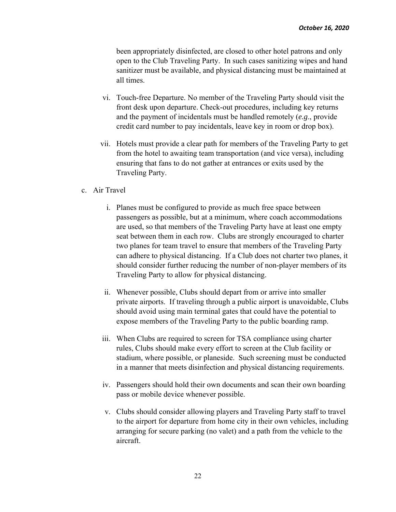been appropriately disinfected, are closed to other hotel patrons and only open to the Club Traveling Party. In such cases sanitizing wipes and hand sanitizer must be available, and physical distancing must be maintained at all times.

- vi. Touch-free Departure. No member of the Traveling Party should visit the front desk upon departure. Check-out procedures, including key returns and the payment of incidentals must be handled remotely (*e.g*., provide credit card number to pay incidentals, leave key in room or drop box).
- vii. Hotels must provide a clear path for members of the Traveling Party to get from the hotel to awaiting team transportation (and vice versa), including ensuring that fans to do not gather at entrances or exits used by the Traveling Party.
- c. Air Travel
	- i. Planes must be configured to provide as much free space between passengers as possible, but at a minimum, where coach accommodations are used, so that members of the Traveling Party have at least one empty seat between them in each row. Clubs are strongly encouraged to charter two planes for team travel to ensure that members of the Traveling Party can adhere to physical distancing. If a Club does not charter two planes, it should consider further reducing the number of non-player members of its Traveling Party to allow for physical distancing.
	- ii. Whenever possible, Clubs should depart from or arrive into smaller private airports. If traveling through a public airport is unavoidable, Clubs should avoid using main terminal gates that could have the potential to expose members of the Traveling Party to the public boarding ramp.
	- iii. When Clubs are required to screen for TSA compliance using charter rules, Clubs should make every effort to screen at the Club facility or stadium, where possible, or planeside. Such screening must be conducted in a manner that meets disinfection and physical distancing requirements.
	- iv. Passengers should hold their own documents and scan their own boarding pass or mobile device whenever possible.
	- v. Clubs should consider allowing players and Traveling Party staff to travel to the airport for departure from home city in their own vehicles, including arranging for secure parking (no valet) and a path from the vehicle to the aircraft.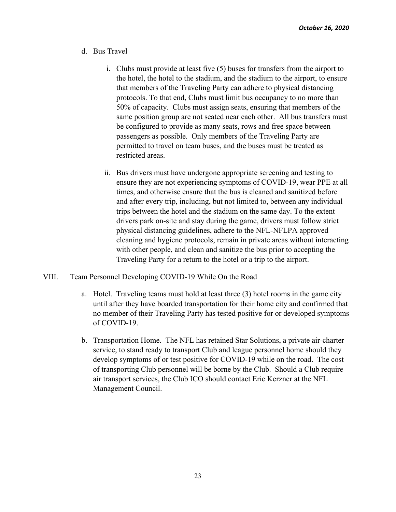- d. Bus Travel
	- i. Clubs must provide at least five (5) buses for transfers from the airport to the hotel, the hotel to the stadium, and the stadium to the airport, to ensure that members of the Traveling Party can adhere to physical distancing protocols. To that end, Clubs must limit bus occupancy to no more than 50% of capacity. Clubs must assign seats, ensuring that members of the same position group are not seated near each other. All bus transfers must be configured to provide as many seats, rows and free space between passengers as possible. Only members of the Traveling Party are permitted to travel on team buses, and the buses must be treated as restricted areas.
	- ii. Bus drivers must have undergone appropriate screening and testing to ensure they are not experiencing symptoms of COVID-19, wear PPE at all times, and otherwise ensure that the bus is cleaned and sanitized before and after every trip, including, but not limited to, between any individual trips between the hotel and the stadium on the same day. To the extent drivers park on-site and stay during the game, drivers must follow strict physical distancing guidelines, adhere to the NFL-NFLPA approved cleaning and hygiene protocols, remain in private areas without interacting with other people, and clean and sanitize the bus prior to accepting the Traveling Party for a return to the hotel or a trip to the airport.
- VIII. Team Personnel Developing COVID-19 While On the Road
	- a. Hotel. Traveling teams must hold at least three (3) hotel rooms in the game city until after they have boarded transportation for their home city and confirmed that no member of their Traveling Party has tested positive for or developed symptoms of COVID-19.
	- b. Transportation Home. The NFL has retained Star Solutions, a private air-charter service, to stand ready to transport Club and league personnel home should they develop symptoms of or test positive for COVID-19 while on the road. The cost of transporting Club personnel will be borne by the Club. Should a Club require air transport services, the Club ICO should contact Eric Kerzner at the NFL Management Council.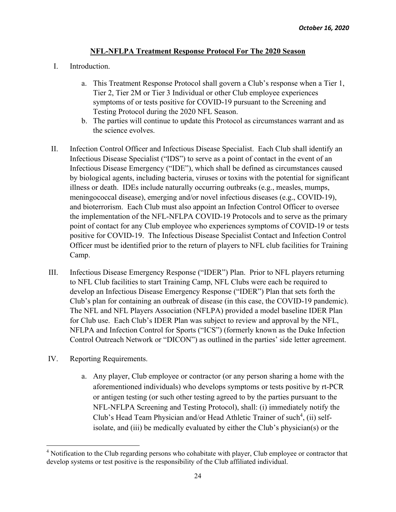## **NFL-NFLPA Treatment Response Protocol For The 2020 Season**

- I. Introduction.
	- a. This Treatment Response Protocol shall govern a Club's response when a Tier 1, Tier 2, Tier 2M or Tier 3 Individual or other Club employee experiences symptoms of or tests positive for COVID-19 pursuant to the Screening and Testing Protocol during the 2020 NFL Season.
	- b. The parties will continue to update this Protocol as circumstances warrant and as the science evolves.
- II. Infection Control Officer and Infectious Disease Specialist. Each Club shall identify an Infectious Disease Specialist ("IDS") to serve as a point of contact in the event of an Infectious Disease Emergency ("IDE"), which shall be defined as circumstances caused by biological agents, including bacteria, viruses or toxins with the potential for significant illness or death. IDEs include naturally occurring outbreaks (e.g., measles, mumps, meningococcal disease), emerging and/or novel infectious diseases (e.g., COVID-19), and bioterrorism. Each Club must also appoint an Infection Control Officer to oversee the implementation of the NFL-NFLPA COVID-19 Protocols and to serve as the primary point of contact for any Club employee who experiences symptoms of COVID-19 or tests positive for COVID-19. The Infectious Disease Specialist Contact and Infection Control Officer must be identified prior to the return of players to NFL club facilities for Training Camp.
- III. Infectious Disease Emergency Response ("IDER") Plan. Prior to NFL players returning to NFL Club facilities to start Training Camp, NFL Clubs were each be required to develop an Infectious Disease Emergency Response ("IDER") Plan that sets forth the Club's plan for containing an outbreak of disease (in this case, the COVID-19 pandemic). The NFL and NFL Players Association (NFLPA) provided a model baseline IDER Plan for Club use. Each Club's IDER Plan was subject to review and approval by the NFL, NFLPA and Infection Control for Sports ("ICS") (formerly known as the Duke Infection Control Outreach Network or "DICON") as outlined in the parties' side letter agreement.
- IV. Reporting Requirements.
	- a. Any player, Club employee or contractor (or any person sharing a home with the aforementioned individuals) who develops symptoms or tests positive by rt-PCR or antigen testing (or such other testing agreed to by the parties pursuant to the NFL-NFLPA Screening and Testing Protocol), shall: (i) immediately notify the Club's Head Team Physician and/or Head Athletic Trainer of such<sup>4</sup>, (ii) selfisolate, and (iii) be medically evaluated by either the Club's physician(s) or the

<sup>&</sup>lt;sup>4</sup> Notification to the Club regarding persons who cohabitate with player, Club employee or contractor that develop systems or test positive is the responsibility of the Club affiliated individual.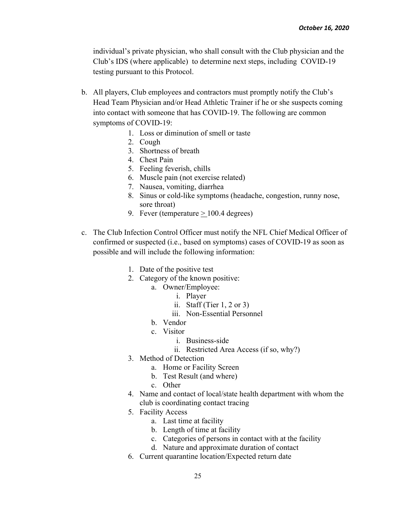individual's private physician, who shall consult with the Club physician and the Club's IDS (where applicable) to determine next steps, including COVID-19 testing pursuant to this Protocol.

- b. All players, Club employees and contractors must promptly notify the Club's Head Team Physician and/or Head Athletic Trainer if he or she suspects coming into contact with someone that has COVID-19. The following are common symptoms of COVID-19:
	- 1. Loss or diminution of smell or taste
	- 2. Cough
	- 3. Shortness of breath
	- 4. Chest Pain
	- 5. Feeling feverish, chills
	- 6. Muscle pain (not exercise related)
	- 7. Nausea, vomiting, diarrhea
	- 8. Sinus or cold-like symptoms (headache, congestion, runny nose, sore throat)
	- 9. Fever (temperature  $> 100.4$  degrees)
- c. The Club Infection Control Officer must notify the NFL Chief Medical Officer of confirmed or suspected (i.e., based on symptoms) cases of COVID-19 as soon as possible and will include the following information:
	- 1. Date of the positive test
	- 2. Category of the known positive:
		- a. Owner/Employee:
			- i. Player
			- ii. Staff (Tier  $1, 2$  or  $3$ )
			- iii. Non-Essential Personnel
		- b. Vendor
		- c. Visitor
			- i. Business-side
			- ii. Restricted Area Access (if so, why?)
	- 3. Method of Detection
		- a. Home or Facility Screen
		- b. Test Result (and where)
		- c. Other
	- 4. Name and contact of local/state health department with whom the club is coordinating contact tracing
	- 5. Facility Access
		- a. Last time at facility
		- b. Length of time at facility
		- c. Categories of persons in contact with at the facility
		- d. Nature and approximate duration of contact
	- 6. Current quarantine location/Expected return date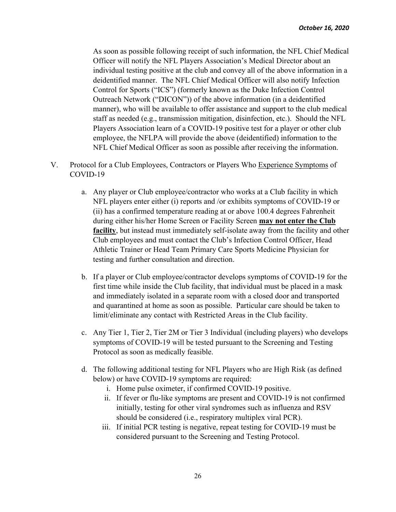As soon as possible following receipt of such information, the NFL Chief Medical Officer will notify the NFL Players Association's Medical Director about an individual testing positive at the club and convey all of the above information in a deidentified manner. The NFL Chief Medical Officer will also notify Infection Control for Sports ("ICS") (formerly known as the Duke Infection Control Outreach Network ("DICON")) of the above information (in a deidentified manner), who will be available to offer assistance and support to the club medical staff as needed (e.g., transmission mitigation, disinfection, etc.). Should the NFL Players Association learn of a COVID-19 positive test for a player or other club employee, the NFLPA will provide the above (deidentified) information to the NFL Chief Medical Officer as soon as possible after receiving the information.

- V. Protocol for a Club Employees, Contractors or Players Who Experience Symptoms of COVID-19
	- a. Any player or Club employee/contractor who works at a Club facility in which NFL players enter either (i) reports and /or exhibits symptoms of COVID-19 or (ii) has a confirmed temperature reading at or above 100.4 degrees Fahrenheit during either his/her Home Screen or Facility Screen **may not enter the Club facility**, but instead must immediately self-isolate away from the facility and other Club employees and must contact the Club's Infection Control Officer, Head Athletic Trainer or Head Team Primary Care Sports Medicine Physician for testing and further consultation and direction.
	- b. If a player or Club employee/contractor develops symptoms of COVID-19 for the first time while inside the Club facility, that individual must be placed in a mask and immediately isolated in a separate room with a closed door and transported and quarantined at home as soon as possible. Particular care should be taken to limit/eliminate any contact with Restricted Areas in the Club facility.
	- c. Any Tier 1, Tier 2, Tier 2M or Tier 3 Individual (including players) who develops symptoms of COVID-19 will be tested pursuant to the Screening and Testing Protocol as soon as medically feasible.
	- d. The following additional testing for NFL Players who are High Risk (as defined below) or have COVID-19 symptoms are required:
		- i. Home pulse oximeter, if confirmed COVID-19 positive.
		- ii. If fever or flu-like symptoms are present and COVID-19 is not confirmed initially, testing for other viral syndromes such as influenza and RSV should be considered (i.e., respiratory multiplex viral PCR).
		- iii. If initial PCR testing is negative, repeat testing for COVID-19 must be considered pursuant to the Screening and Testing Protocol.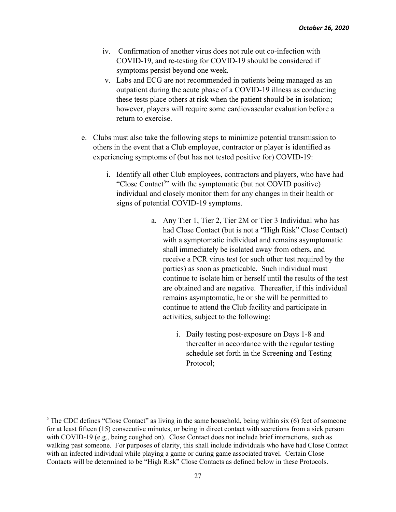- iv. Confirmation of another virus does not rule out co-infection with COVID-19, and re-testing for COVID-19 should be considered if symptoms persist beyond one week.
- v. Labs and ECG are not recommended in patients being managed as an outpatient during the acute phase of a COVID-19 illness as conducting these tests place others at risk when the patient should be in isolation; however, players will require some cardiovascular evaluation before a return to exercise.
- e. Clubs must also take the following steps to minimize potential transmission to others in the event that a Club employee, contractor or player is identified as experiencing symptoms of (but has not tested positive for) COVID-19:
	- i. Identify all other Club employees, contractors and players, who have had "Close Contact<sup>5</sup>" with the symptomatic (but not COVID positive) individual and closely monitor them for any changes in their health or signs of potential COVID-19 symptoms.
		- a. Any Tier 1, Tier 2, Tier 2M or Tier 3 Individual who has had Close Contact (but is not a "High Risk" Close Contact) with a symptomatic individual and remains asymptomatic shall immediately be isolated away from others, and receive a PCR virus test (or such other test required by the parties) as soon as practicable. Such individual must continue to isolate him or herself until the results of the test are obtained and are negative. Thereafter, if this individual remains asymptomatic, he or she will be permitted to continue to attend the Club facility and participate in activities, subject to the following:
			- i. Daily testing post-exposure on Days 1-8 and thereafter in accordance with the regular testing schedule set forth in the Screening and Testing Protocol;

 $<sup>5</sup>$  The CDC defines "Close Contact" as living in the same household, being within six (6) feet of someone</sup> for at least fifteen (15) consecutive minutes, or being in direct contact with secretions from a sick person with COVID-19 (e.g., being coughed on). Close Contact does not include brief interactions, such as walking past someone. For purposes of clarity, this shall include individuals who have had Close Contact with an infected individual while playing a game or during game associated travel. Certain Close Contacts will be determined to be "High Risk" Close Contacts as defined below in these Protocols.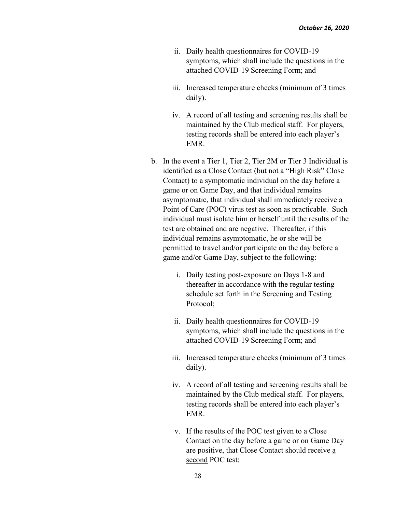- ii. Daily health questionnaires for COVID-19 symptoms, which shall include the questions in the attached COVID-19 Screening Form; and
- iii. Increased temperature checks (minimum of 3 times daily).
- iv. A record of all testing and screening results shall be maintained by the Club medical staff. For players, testing records shall be entered into each player's EMR.
- b. In the event a Tier 1, Tier 2, Tier 2M or Tier 3 Individual is identified as a Close Contact (but not a "High Risk" Close Contact) to a symptomatic individual on the day before a game or on Game Day, and that individual remains asymptomatic, that individual shall immediately receive a Point of Care (POC) virus test as soon as practicable. Such individual must isolate him or herself until the results of the test are obtained and are negative. Thereafter, if this individual remains asymptomatic, he or she will be permitted to travel and/or participate on the day before a game and/or Game Day, subject to the following:
	- i. Daily testing post-exposure on Days 1-8 and thereafter in accordance with the regular testing schedule set forth in the Screening and Testing Protocol;
	- ii. Daily health questionnaires for COVID-19 symptoms, which shall include the questions in the attached COVID-19 Screening Form; and
	- iii. Increased temperature checks (minimum of 3 times daily).
	- iv. A record of all testing and screening results shall be maintained by the Club medical staff. For players, testing records shall be entered into each player's EMR.
	- v. If the results of the POC test given to a Close Contact on the day before a game or on Game Day are positive, that Close Contact should receive a second POC test: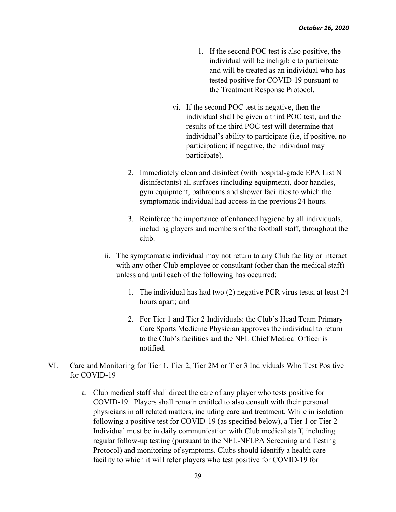- 1. If the second POC test is also positive, the individual will be ineligible to participate and will be treated as an individual who has tested positive for COVID-19 pursuant to the Treatment Response Protocol.
- vi. If the second POC test is negative, then the individual shall be given a third POC test, and the results of the third POC test will determine that individual's ability to participate (i.e, if positive, no participation; if negative, the individual may participate).
- 2. Immediately clean and disinfect (with hospital-grade EPA List N disinfectants) all surfaces (including equipment), door handles, gym equipment, bathrooms and shower facilities to which the symptomatic individual had access in the previous 24 hours.
- 3. Reinforce the importance of enhanced hygiene by all individuals, including players and members of the football staff, throughout the club.
- ii. The symptomatic individual may not return to any Club facility or interact with any other Club employee or consultant (other than the medical staff) unless and until each of the following has occurred:
	- 1. The individual has had two (2) negative PCR virus tests, at least 24 hours apart; and
	- 2. For Tier 1 and Tier 2 Individuals: the Club's Head Team Primary Care Sports Medicine Physician approves the individual to return to the Club's facilities and the NFL Chief Medical Officer is notified.
- VI. Care and Monitoring for Tier 1, Tier 2, Tier 2M or Tier 3 Individuals Who Test Positive for COVID-19
	- a. Club medical staff shall direct the care of any player who tests positive for COVID-19. Players shall remain entitled to also consult with their personal physicians in all related matters, including care and treatment. While in isolation following a positive test for COVID-19 (as specified below), a Tier 1 or Tier 2 Individual must be in daily communication with Club medical staff, including regular follow-up testing (pursuant to the NFL-NFLPA Screening and Testing Protocol) and monitoring of symptoms. Clubs should identify a health care facility to which it will refer players who test positive for COVID-19 for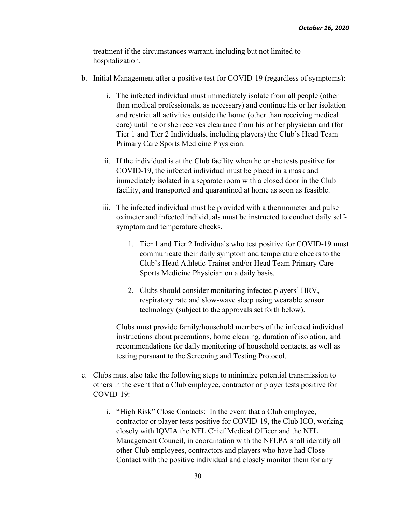treatment if the circumstances warrant, including but not limited to hospitalization.

- b. Initial Management after a positive test for COVID-19 (regardless of symptoms):
	- i. The infected individual must immediately isolate from all people (other than medical professionals, as necessary) and continue his or her isolation and restrict all activities outside the home (other than receiving medical care) until he or she receives clearance from his or her physician and (for Tier 1 and Tier 2 Individuals, including players) the Club's Head Team Primary Care Sports Medicine Physician.
	- ii. If the individual is at the Club facility when he or she tests positive for COVID-19, the infected individual must be placed in a mask and immediately isolated in a separate room with a closed door in the Club facility, and transported and quarantined at home as soon as feasible.
	- iii. The infected individual must be provided with a thermometer and pulse oximeter and infected individuals must be instructed to conduct daily selfsymptom and temperature checks.
		- 1. Tier 1 and Tier 2 Individuals who test positive for COVID-19 must communicate their daily symptom and temperature checks to the Club's Head Athletic Trainer and/or Head Team Primary Care Sports Medicine Physician on a daily basis.
		- 2. Clubs should consider monitoring infected players' HRV, respiratory rate and slow-wave sleep using wearable sensor technology (subject to the approvals set forth below).

Clubs must provide family/household members of the infected individual instructions about precautions, home cleaning, duration of isolation, and recommendations for daily monitoring of household contacts, as well as testing pursuant to the Screening and Testing Protocol.

- c. Clubs must also take the following steps to minimize potential transmission to others in the event that a Club employee, contractor or player tests positive for COVID-19:
	- i. "High Risk" Close Contacts: In the event that a Club employee, contractor or player tests positive for COVID-19, the Club ICO, working closely with IQVIA the NFL Chief Medical Officer and the NFL Management Council, in coordination with the NFLPA shall identify all other Club employees, contractors and players who have had Close Contact with the positive individual and closely monitor them for any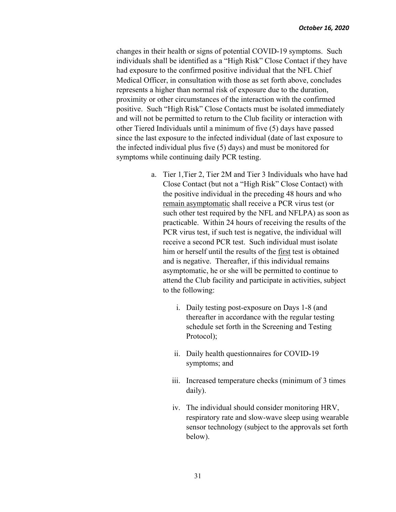changes in their health or signs of potential COVID-19 symptoms. Such individuals shall be identified as a "High Risk" Close Contact if they have had exposure to the confirmed positive individual that the NFL Chief Medical Officer, in consultation with those as set forth above, concludes represents a higher than normal risk of exposure due to the duration, proximity or other circumstances of the interaction with the confirmed positive. Such "High Risk" Close Contacts must be isolated immediately and will not be permitted to return to the Club facility or interaction with other Tiered Individuals until a minimum of five (5) days have passed since the last exposure to the infected individual (date of last exposure to the infected individual plus five (5) days) and must be monitored for symptoms while continuing daily PCR testing.

- a. Tier 1,Tier 2, Tier 2M and Tier 3 Individuals who have had Close Contact (but not a "High Risk" Close Contact) with the positive individual in the preceding 48 hours and who remain asymptomatic shall receive a PCR virus test (or such other test required by the NFL and NFLPA) as soon as practicable. Within 24 hours of receiving the results of the PCR virus test, if such test is negative, the individual will receive a second PCR test. Such individual must isolate him or herself until the results of the first test is obtained and is negative. Thereafter, if this individual remains asymptomatic, he or she will be permitted to continue to attend the Club facility and participate in activities, subject to the following:
	- i. Daily testing post-exposure on Days 1-8 (and thereafter in accordance with the regular testing schedule set forth in the Screening and Testing Protocol);
	- ii. Daily health questionnaires for COVID-19 symptoms; and
	- iii. Increased temperature checks (minimum of 3 times daily).
	- iv. The individual should consider monitoring HRV, respiratory rate and slow-wave sleep using wearable sensor technology (subject to the approvals set forth below).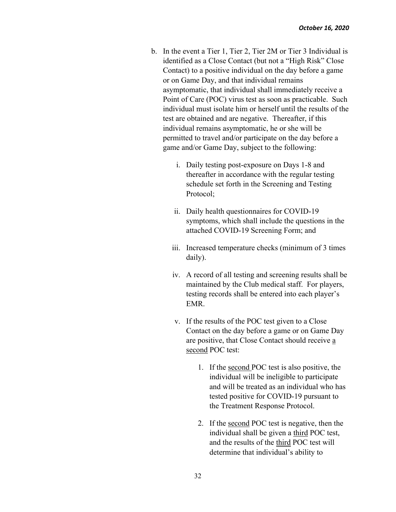- b. In the event a Tier 1, Tier 2, Tier 2M or Tier 3 Individual is identified as a Close Contact (but not a "High Risk" Close Contact) to a positive individual on the day before a game or on Game Day, and that individual remains asymptomatic, that individual shall immediately receive a Point of Care (POC) virus test as soon as practicable. Such individual must isolate him or herself until the results of the test are obtained and are negative. Thereafter, if this individual remains asymptomatic, he or she will be permitted to travel and/or participate on the day before a game and/or Game Day, subject to the following:
	- i. Daily testing post-exposure on Days 1-8 and thereafter in accordance with the regular testing schedule set forth in the Screening and Testing Protocol;
	- ii. Daily health questionnaires for COVID-19 symptoms, which shall include the questions in the attached COVID-19 Screening Form; and
	- iii. Increased temperature checks (minimum of 3 times daily).
	- iv. A record of all testing and screening results shall be maintained by the Club medical staff. For players, testing records shall be entered into each player's EMR.
	- v. If the results of the POC test given to a Close Contact on the day before a game or on Game Day are positive, that Close Contact should receive a second POC test:
		- 1. If the second POC test is also positive, the individual will be ineligible to participate and will be treated as an individual who has tested positive for COVID-19 pursuant to the Treatment Response Protocol.
		- 2. If the second POC test is negative, then the individual shall be given a third POC test, and the results of the third POC test will determine that individual's ability to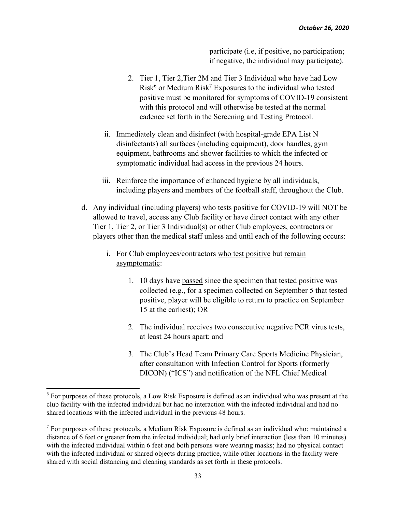participate (i.e, if positive, no participation; if negative, the individual may participate).

- 2. Tier 1, Tier 2,Tier 2M and Tier 3 Individual who have had Low  $Risk<sup>6</sup>$  or Medium  $Risk<sup>7</sup>$  Exposures to the individual who tested positive must be monitored for symptoms of COVID-19 consistent with this protocol and will otherwise be tested at the normal cadence set forth in the Screening and Testing Protocol.
- ii. Immediately clean and disinfect (with hospital-grade EPA List N disinfectants) all surfaces (including equipment), door handles, gym equipment, bathrooms and shower facilities to which the infected or symptomatic individual had access in the previous 24 hours.
- iii. Reinforce the importance of enhanced hygiene by all individuals, including players and members of the football staff, throughout the Club.
- d. Any individual (including players) who tests positive for COVID-19 will NOT be allowed to travel, access any Club facility or have direct contact with any other Tier 1, Tier 2, or Tier 3 Individual(s) or other Club employees, contractors or players other than the medical staff unless and until each of the following occurs:
	- i. For Club employees/contractors who test positive but remain asymptomatic:
		- 1. 10 days have passed since the specimen that tested positive was collected (e.g., for a specimen collected on September 5 that tested positive, player will be eligible to return to practice on September 15 at the earliest); OR
		- 2. The individual receives two consecutive negative PCR virus tests, at least 24 hours apart; and
		- 3. The Club's Head Team Primary Care Sports Medicine Physician, after consultation with Infection Control for Sports (formerly DICON) ("ICS") and notification of the NFL Chief Medical

 $6$  For purposes of these protocols, a Low Risk Exposure is defined as an individual who was present at the club facility with the infected individual but had no interaction with the infected individual and had no shared locations with the infected individual in the previous 48 hours.

 $7$  For purposes of these protocols, a Medium Risk Exposure is defined as an individual who: maintained a distance of 6 feet or greater from the infected individual; had only brief interaction (less than 10 minutes) with the infected individual within 6 feet and both persons were wearing masks; had no physical contact with the infected individual or shared objects during practice, while other locations in the facility were shared with social distancing and cleaning standards as set forth in these protocols.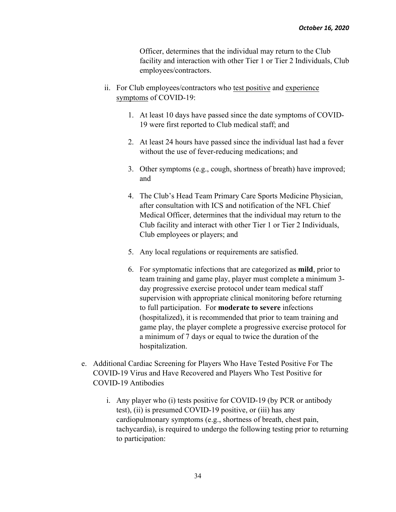Officer, determines that the individual may return to the Club facility and interaction with other Tier 1 or Tier 2 Individuals, Club employees/contractors.

- ii. For Club employees/contractors who test positive and experience symptoms of COVID-19:
	- 1. At least 10 days have passed since the date symptoms of COVID-19 were first reported to Club medical staff; and
	- 2. At least 24 hours have passed since the individual last had a fever without the use of fever-reducing medications; and
	- 3. Other symptoms (e.g., cough, shortness of breath) have improved; and
	- 4. The Club's Head Team Primary Care Sports Medicine Physician, after consultation with ICS and notification of the NFL Chief Medical Officer, determines that the individual may return to the Club facility and interact with other Tier 1 or Tier 2 Individuals, Club employees or players; and
	- 5. Any local regulations or requirements are satisfied.
	- 6. For symptomatic infections that are categorized as **mild**, prior to team training and game play, player must complete a minimum 3 day progressive exercise protocol under team medical staff supervision with appropriate clinical monitoring before returning to full participation. For **moderate to severe** infections (hospitalized), it is recommended that prior to team training and game play, the player complete a progressive exercise protocol for a minimum of 7 days or equal to twice the duration of the hospitalization.
- e. Additional Cardiac Screening for Players Who Have Tested Positive For The COVID-19 Virus and Have Recovered and Players Who Test Positive for COVID-19 Antibodies
	- i. Any player who (i) tests positive for COVID-19 (by PCR or antibody test), (ii) is presumed COVID-19 positive, or (iii) has any cardiopulmonary symptoms (e.g., shortness of breath, chest pain, tachycardia), is required to undergo the following testing prior to returning to participation: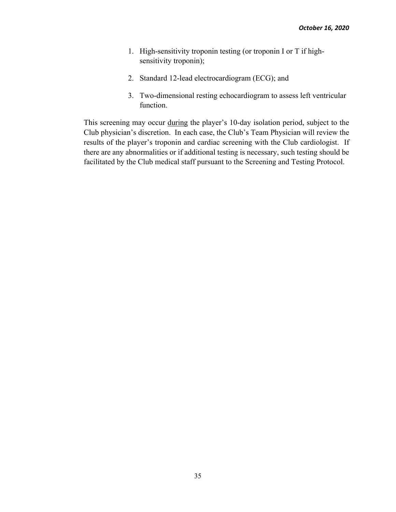- 1. High-sensitivity troponin testing (or troponin I or T if highsensitivity troponin);
- 2. Standard 12-lead electrocardiogram (ECG); and
- 3. Two-dimensional resting echocardiogram to assess left ventricular function.

This screening may occur during the player's 10-day isolation period, subject to the Club physician's discretion. In each case, the Club's Team Physician will review the results of the player's troponin and cardiac screening with the Club cardiologist. If there are any abnormalities or if additional testing is necessary, such testing should be facilitated by the Club medical staff pursuant to the Screening and Testing Protocol.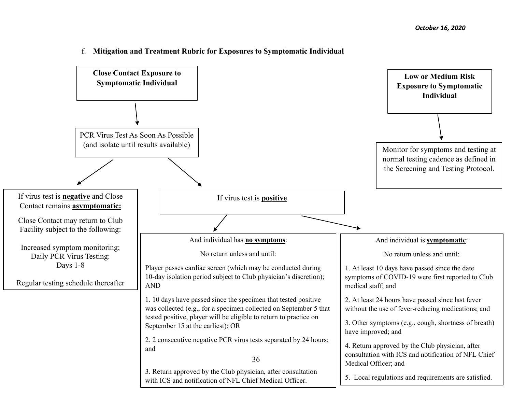

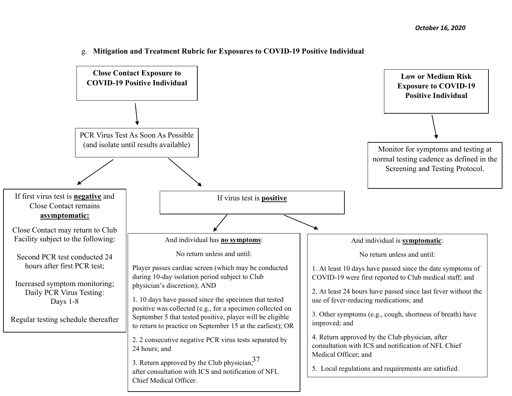

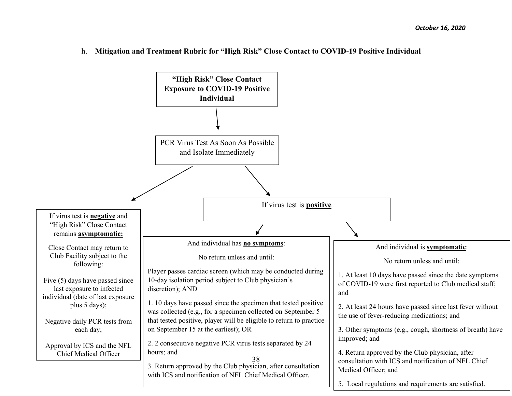h. **Mitigation and Treatment Rubric for "High Risk" Close Contact to COVID-19 Positive Individual** 

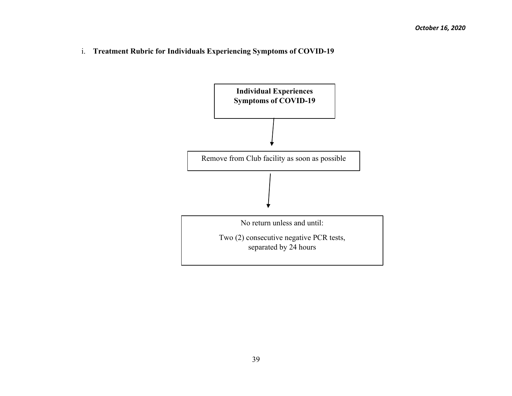i. **Treatment Rubric for Individuals Experiencing Symptoms of COVID-19** 

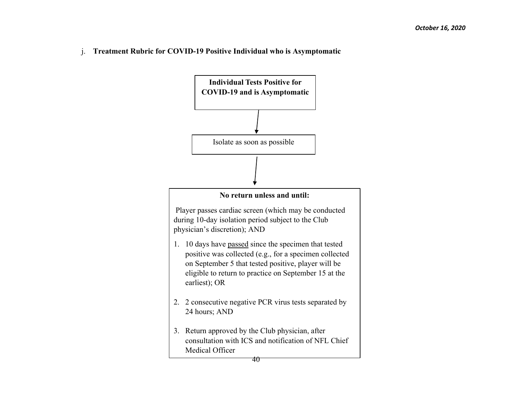j. **Treatment Rubric for COVID-19 Positive Individual who is Asymptomatic** 

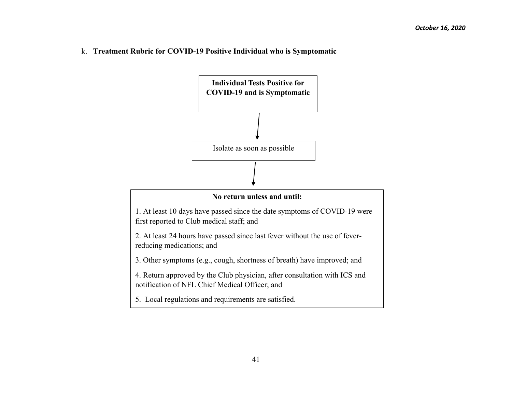k. **Treatment Rubric for COVID-19 Positive Individual who is Symptomatic** 

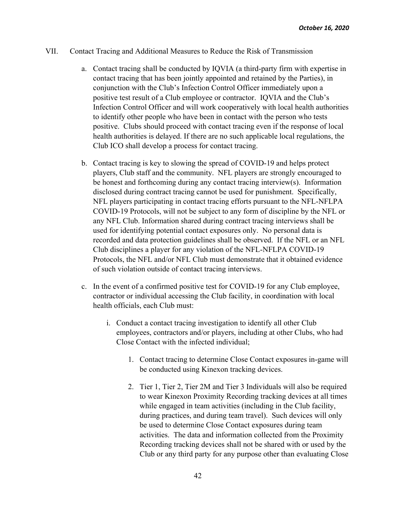#### VII. Contact Tracing and Additional Measures to Reduce the Risk of Transmission

- a. Contact tracing shall be conducted by IQVIA (a third-party firm with expertise in contact tracing that has been jointly appointed and retained by the Parties), in conjunction with the Club's Infection Control Officer immediately upon a positive test result of a Club employee or contractor. IQVIA and the Club's Infection Control Officer and will work cooperatively with local health authorities to identify other people who have been in contact with the person who tests positive. Clubs should proceed with contact tracing even if the response of local health authorities is delayed. If there are no such applicable local regulations, the Club ICO shall develop a process for contact tracing.
- b. Contact tracing is key to slowing the spread of COVID-19 and helps protect players, Club staff and the community. NFL players are strongly encouraged to be honest and forthcoming during any contact tracing interview(s). Information disclosed during contract tracing cannot be used for punishment. Specifically, NFL players participating in contact tracing efforts pursuant to the NFL-NFLPA COVID-19 Protocols, will not be subject to any form of discipline by the NFL or any NFL Club. Information shared during contract tracing interviews shall be used for identifying potential contact exposures only. No personal data is recorded and data protection guidelines shall be observed. If the NFL or an NFL Club disciplines a player for any violation of the NFL-NFLPA COVID-19 Protocols, the NFL and/or NFL Club must demonstrate that it obtained evidence of such violation outside of contact tracing interviews.
- c. In the event of a confirmed positive test for COVID-19 for any Club employee, contractor or individual accessing the Club facility, in coordination with local health officials, each Club must:
	- i. Conduct a contact tracing investigation to identify all other Club employees, contractors and/or players, including at other Clubs, who had Close Contact with the infected individual;
		- 1. Contact tracing to determine Close Contact exposures in-game will be conducted using Kinexon tracking devices.
		- 2. Tier 1, Tier 2, Tier 2M and Tier 3 Individuals will also be required to wear Kinexon Proximity Recording tracking devices at all times while engaged in team activities (including in the Club facility, during practices, and during team travel). Such devices will only be used to determine Close Contact exposures during team activities. The data and information collected from the Proximity Recording tracking devices shall not be shared with or used by the Club or any third party for any purpose other than evaluating Close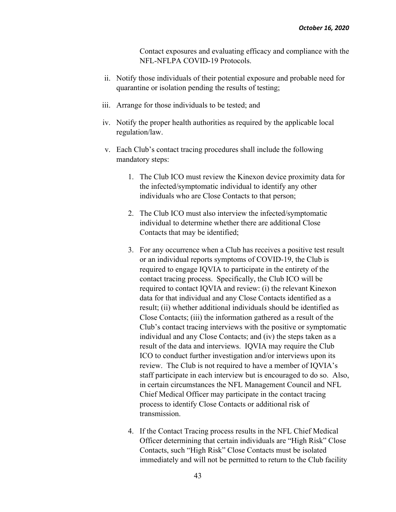Contact exposures and evaluating efficacy and compliance with the NFL-NFLPA COVID-19 Protocols.

- ii. Notify those individuals of their potential exposure and probable need for quarantine or isolation pending the results of testing;
- iii. Arrange for those individuals to be tested; and
- iv. Notify the proper health authorities as required by the applicable local regulation/law.
- v. Each Club's contact tracing procedures shall include the following mandatory steps:
	- 1. The Club ICO must review the Kinexon device proximity data for the infected/symptomatic individual to identify any other individuals who are Close Contacts to that person;
	- 2. The Club ICO must also interview the infected/symptomatic individual to determine whether there are additional Close Contacts that may be identified;
	- 3. For any occurrence when a Club has receives a positive test result or an individual reports symptoms of COVID-19, the Club is required to engage IQVIA to participate in the entirety of the contact tracing process. Specifically, the Club ICO will be required to contact IQVIA and review: (i) the relevant Kinexon data for that individual and any Close Contacts identified as a result; (ii) whether additional individuals should be identified as Close Contacts; (iii) the information gathered as a result of the Club's contact tracing interviews with the positive or symptomatic individual and any Close Contacts; and (iv) the steps taken as a result of the data and interviews. IQVIA may require the Club ICO to conduct further investigation and/or interviews upon its review. The Club is not required to have a member of IQVIA's staff participate in each interview but is encouraged to do so. Also, in certain circumstances the NFL Management Council and NFL Chief Medical Officer may participate in the contact tracing process to identify Close Contacts or additional risk of transmission.
	- 4. If the Contact Tracing process results in the NFL Chief Medical Officer determining that certain individuals are "High Risk" Close Contacts, such "High Risk" Close Contacts must be isolated immediately and will not be permitted to return to the Club facility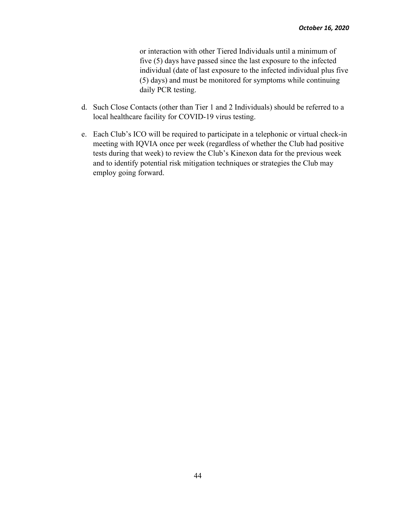or interaction with other Tiered Individuals until a minimum of five (5) days have passed since the last exposure to the infected individual (date of last exposure to the infected individual plus five (5) days) and must be monitored for symptoms while continuing daily PCR testing.

- d. Such Close Contacts (other than Tier 1 and 2 Individuals) should be referred to a local healthcare facility for COVID-19 virus testing.
- e. Each Club's ICO will be required to participate in a telephonic or virtual check-in meeting with IQVIA once per week (regardless of whether the Club had positive tests during that week) to review the Club's Kinexon data for the previous week and to identify potential risk mitigation techniques or strategies the Club may employ going forward.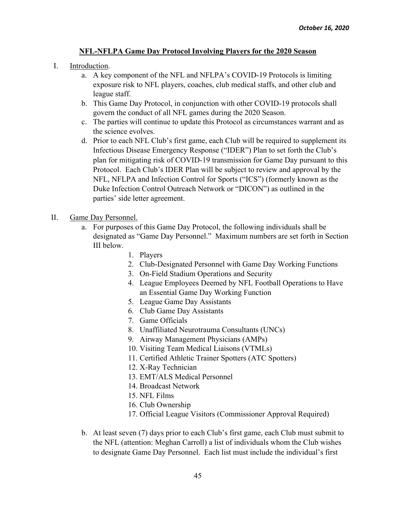## **NFL-NFLPA Game Day Protocol Involving Players for the 2020 Season**

## I. Introduction.

- a. A key component of the NFL and NFLPA's COVID-19 Protocols is limiting exposure risk to NFL players, coaches, club medical staffs, and other club and league staff.
- b. This Game Day Protocol, in conjunction with other COVID-19 protocols shall govern the conduct of all NFL games during the 2020 Season.
- c. The parties will continue to update this Protocol as circumstances warrant and as the science evolves.
- d. Prior to each NFL Club's first game, each Club will be required to supplement its Infectious Disease Emergency Response ("IDER") Plan to set forth the Club's plan for mitigating risk of COVID-19 transmission for Game Day pursuant to this Protocol. Each Club's IDER Plan will be subject to review and approval by the NFL, NFLPA and Infection Control for Sports ("ICS") (formerly known as the Duke Infection Control Outreach Network or "DICON") as outlined in the parties' side letter agreement.
- II. Game Day Personnel.
	- a. For purposes of this Game Day Protocol, the following individuals shall be designated as "Game Day Personnel." Maximum numbers are set forth in Section III below.
		- 1. Players
		- 2. Club-Designated Personnel with Game Day Working Functions
		- 3. On-Field Stadium Operations and Security
		- 4. League Employees Deemed by NFL Football Operations to Have an Essential Game Day Working Function
		- 5. League Game Day Assistants
		- 6. Club Game Day Assistants
		- 7. Game Officials
		- 8. Unaffiliated Neurotrauma Consultants (UNCs)
		- 9. Airway Management Physicians (AMPs)
		- 10. Visiting Team Medical Liaisons (VTMLs)
		- 11. Certified Athletic Trainer Spotters (ATC Spotters)
		- 12. X-Ray Technician
		- 13. EMT/ALS Medical Personnel
		- 14. Broadcast Network
		- 15. NFL Films
		- 16. Club Ownership
		- 17. Official League Visitors (Commissioner Approval Required)
	- b. At least seven (7) days prior to each Club's first game, each Club must submit to the NFL (attention: Meghan Carroll) a list of individuals whom the Club wishes to designate Game Day Personnel. Each list must include the individual's first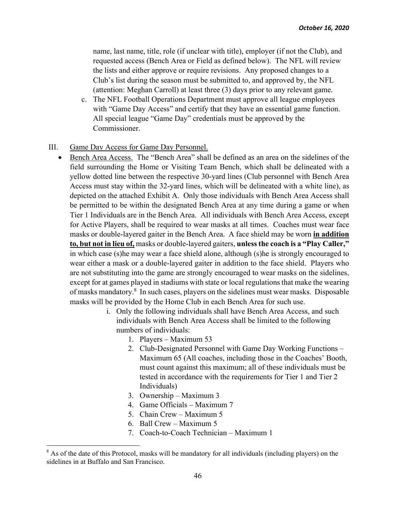name, last name, title, role (if unclear with title), employer (if not the Club), and requested access (Bench Area or Field as defined below). The NFL will review the lists and either approve or require revisions. Any proposed changes to a Club's list during the season must be submitted to, and approved by, the NFL (attention: Meghan Carroll) at least three (3) days prior to any relevant game.

- c. The NFL Football Operations Department must approve all league employees with "Game Day Access" and certify that they have an essential game function. All special league "Game Day" credentials must be approved by the Commissioner.
- III. Game Day Access for Game Day Personnel.
	- Bench Area Access. The "Bench Area" shall be defined as an area on the sidelines of the field surrounding the Home or Visiting Team Bench, which shall be delineated with a yellow dotted line between the respective 30-yard lines (Club personnel with Bench Area Access must stay within the 32-yard lines, which will be delineated with a white line), as depicted on the attached Exhibit A. Only those individuals with Bench Area Access shall be permitted to be within the designated Bench Area at any time during a game or when Tier 1 Individuals are in the Bench Area. All individuals with Bench Area Access, except for Active Players, shall be required to wear masks at all times. Coaches must wear face masks or double-layered gaiter in the Bench Area. A face shield may be worn **in addition to, but not in lieu of,** masks or double-layered gaiters, **unless the coach is a "Play Caller,"**  in which case (s)he may wear a face shield alone, although (s)he is strongly encouraged to wear either a mask or a double-layered gaiter in addition to the face shield. Players who are not substituting into the game are strongly encouraged to wear masks on the sidelines, except for at games played in stadiums with state or local regulations that make the wearing of masks mandatory.<sup>8</sup> In such cases, players on the sidelines must wear masks. Disposable masks will be provided by the Home Club in each Bench Area for such use.
		- i. Only the following individuals shall have Bench Area Access, and such individuals with Bench Area Access shall be limited to the following numbers of individuals:
			- 1. Players Maximum 53
			- 2. Club-Designated Personnel with Game Day Working Functions Maximum 65 (All coaches, including those in the Coaches' Booth, must count against this maximum; all of these individuals must be tested in accordance with the requirements for Tier 1 and Tier 2 Individuals)
			- 3. Ownership Maximum 3
			- 4. Game Officials Maximum 7
			- 5. Chain Crew Maximum 5
			- 6. Ball Crew Maximum 5
			- 7. Coach-to-Coach Technician Maximum 1

 $8$  As of the date of this Protocol, masks will be mandatory for all individuals (including players) on the sidelines in at Buffalo and San Francisco.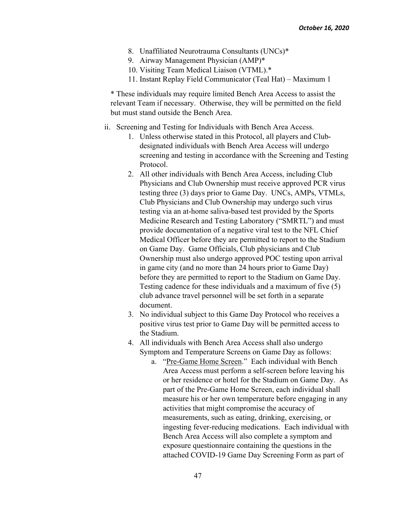- 8. Unaffiliated Neurotrauma Consultants (UNCs)\*
- 9. Airway Management Physician (AMP)\*
- 10. Visiting Team Medical Liaison (VTML).\*
- 11. Instant Replay Field Communicator (Teal Hat) Maximum 1

\* These individuals may require limited Bench Area Access to assist the relevant Team if necessary. Otherwise, they will be permitted on the field but must stand outside the Bench Area.

- ii. Screening and Testing for Individuals with Bench Area Access.
	- 1. Unless otherwise stated in this Protocol, all players and Clubdesignated individuals with Bench Area Access will undergo screening and testing in accordance with the Screening and Testing Protocol.
	- 2. All other individuals with Bench Area Access, including Club Physicians and Club Ownership must receive approved PCR virus testing three (3) days prior to Game Day. UNCs, AMPs, VTMLs, Club Physicians and Club Ownership may undergo such virus testing via an at-home saliva-based test provided by the Sports Medicine Research and Testing Laboratory ("SMRTL") and must provide documentation of a negative viral test to the NFL Chief Medical Officer before they are permitted to report to the Stadium on Game Day. Game Officials, Club physicians and Club Ownership must also undergo approved POC testing upon arrival in game city (and no more than 24 hours prior to Game Day) before they are permitted to report to the Stadium on Game Day. Testing cadence for these individuals and a maximum of five (5) club advance travel personnel will be set forth in a separate document.
	- 3. No individual subject to this Game Day Protocol who receives a positive virus test prior to Game Day will be permitted access to the Stadium.
	- 4. All individuals with Bench Area Access shall also undergo Symptom and Temperature Screens on Game Day as follows:
		- a. "Pre-Game Home Screen." Each individual with Bench Area Access must perform a self-screen before leaving his or her residence or hotel for the Stadium on Game Day. As part of the Pre-Game Home Screen, each individual shall measure his or her own temperature before engaging in any activities that might compromise the accuracy of measurements, such as eating, drinking, exercising, or ingesting fever-reducing medications. Each individual with Bench Area Access will also complete a symptom and exposure questionnaire containing the questions in the attached COVID-19 Game Day Screening Form as part of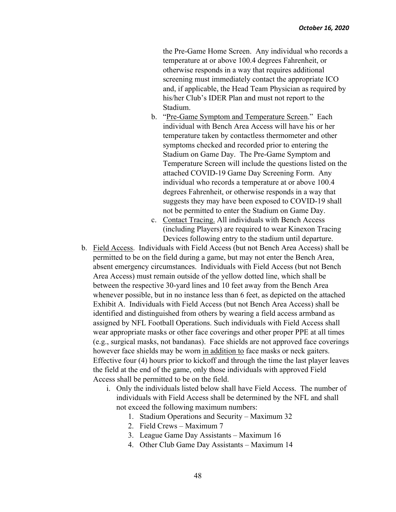the Pre-Game Home Screen. Any individual who records a temperature at or above 100.4 degrees Fahrenheit, or otherwise responds in a way that requires additional screening must immediately contact the appropriate ICO and, if applicable, the Head Team Physician as required by his/her Club's IDER Plan and must not report to the Stadium.

- b. "Pre-Game Symptom and Temperature Screen." Each individual with Bench Area Access will have his or her temperature taken by contactless thermometer and other symptoms checked and recorded prior to entering the Stadium on Game Day. The Pre-Game Symptom and Temperature Screen will include the questions listed on the attached COVID-19 Game Day Screening Form. Any individual who records a temperature at or above 100.4 degrees Fahrenheit, or otherwise responds in a way that suggests they may have been exposed to COVID-19 shall not be permitted to enter the Stadium on Game Day.
- c. Contact Tracing. All individuals with Bench Access (including Players) are required to wear Kinexon Tracing Devices following entry to the stadium until departure.
- b. Field Access. Individuals with Field Access (but not Bench Area Access) shall be permitted to be on the field during a game, but may not enter the Bench Area, absent emergency circumstances. Individuals with Field Access (but not Bench Area Access) must remain outside of the yellow dotted line, which shall be between the respective 30-yard lines and 10 feet away from the Bench Area whenever possible, but in no instance less than 6 feet, as depicted on the attached Exhibit A. Individuals with Field Access (but not Bench Area Access) shall be identified and distinguished from others by wearing a field access armband as assigned by NFL Football Operations. Such individuals with Field Access shall wear appropriate masks or other face coverings and other proper PPE at all times (e.g., surgical masks, not bandanas). Face shields are not approved face coverings however face shields may be worn in addition to face masks or neck gaiters. Effective four (4) hours prior to kickoff and through the time the last player leaves the field at the end of the game, only those individuals with approved Field Access shall be permitted to be on the field.
	- i. Only the individuals listed below shall have Field Access. The number of individuals with Field Access shall be determined by the NFL and shall not exceed the following maximum numbers:
		- 1. Stadium Operations and Security Maximum 32
		- 2. Field Crews Maximum 7
		- 3. League Game Day Assistants Maximum 16
		- 4. Other Club Game Day Assistants Maximum 14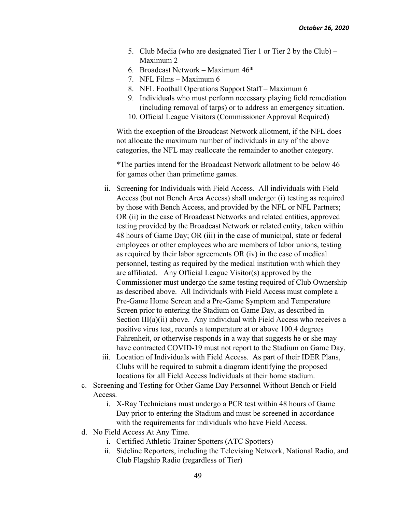- 5. Club Media (who are designated Tier 1 or Tier 2 by the Club) Maximum 2
- 6. Broadcast Network Maximum 46\*
- 7. NFL Films Maximum 6
- 8. NFL Football Operations Support Staff Maximum 6
- 9. Individuals who must perform necessary playing field remediation (including removal of tarps) or to address an emergency situation.
- 10. Official League Visitors (Commissioner Approval Required)

With the exception of the Broadcast Network allotment, if the NFL does not allocate the maximum number of individuals in any of the above categories, the NFL may reallocate the remainder to another category.

\*The parties intend for the Broadcast Network allotment to be below 46 for games other than primetime games.

- ii. Screening for Individuals with Field Access. All individuals with Field Access (but not Bench Area Access) shall undergo: (i) testing as required by those with Bench Access, and provided by the NFL or NFL Partners; OR (ii) in the case of Broadcast Networks and related entities, approved testing provided by the Broadcast Network or related entity, taken within 48 hours of Game Day; OR (iii) in the case of municipal, state or federal employees or other employees who are members of labor unions, testing as required by their labor agreements OR (iv) in the case of medical personnel, testing as required by the medical institution with which they are affiliated. Any Official League Visitor(s) approved by the Commissioner must undergo the same testing required of Club Ownership as described above. All Individuals with Field Access must complete a Pre-Game Home Screen and a Pre-Game Symptom and Temperature Screen prior to entering the Stadium on Game Day, as described in Section III(a)(ii) above. Any individual with Field Access who receives a positive virus test, records a temperature at or above 100.4 degrees Fahrenheit, or otherwise responds in a way that suggests he or she may have contracted COVID-19 must not report to the Stadium on Game Day.
- iii. Location of Individuals with Field Access. As part of their IDER Plans, Clubs will be required to submit a diagram identifying the proposed locations for all Field Access Individuals at their home stadium.
- c. Screening and Testing for Other Game Day Personnel Without Bench or Field Access.
	- i. X-Ray Technicians must undergo a PCR test within 48 hours of Game Day prior to entering the Stadium and must be screened in accordance with the requirements for individuals who have Field Access.
- d. No Field Access At Any Time.
	- i. Certified Athletic Trainer Spotters (ATC Spotters)
	- ii. Sideline Reporters, including the Televising Network, National Radio, and Club Flagship Radio (regardless of Tier)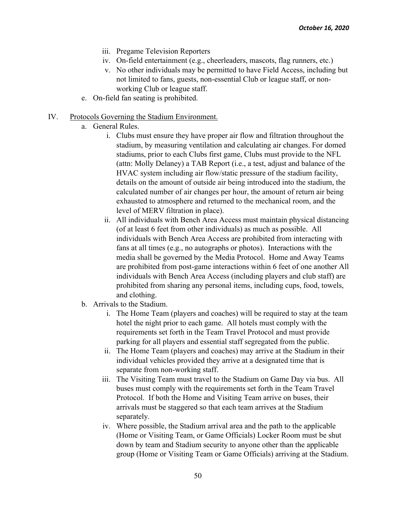- iii. Pregame Television Reporters
- iv. On-field entertainment (e.g., cheerleaders, mascots, flag runners, etc.)
- v. No other individuals may be permitted to have Field Access, including but not limited to fans, guests, non-essential Club or league staff, or nonworking Club or league staff.
- e. On-field fan seating is prohibited.
- IV. Protocols Governing the Stadium Environment.
	- a. General Rules.
		- i. Clubs must ensure they have proper air flow and filtration throughout the stadium, by measuring ventilation and calculating air changes. For domed stadiums, prior to each Clubs first game, Clubs must provide to the NFL (attn: Molly Delaney) a TAB Report (i.e., a test, adjust and balance of the HVAC system including air flow/static pressure of the stadium facility, details on the amount of outside air being introduced into the stadium, the calculated number of air changes per hour, the amount of return air being exhausted to atmosphere and returned to the mechanical room, and the level of MERV filtration in place).
		- ii. All individuals with Bench Area Access must maintain physical distancing (of at least 6 feet from other individuals) as much as possible. All individuals with Bench Area Access are prohibited from interacting with fans at all times (e.g., no autographs or photos). Interactions with the media shall be governed by the Media Protocol. Home and Away Teams are prohibited from post-game interactions within 6 feet of one another All individuals with Bench Area Access (including players and club staff) are prohibited from sharing any personal items, including cups, food, towels, and clothing.
	- b. Arrivals to the Stadium.
		- i. The Home Team (players and coaches) will be required to stay at the team hotel the night prior to each game. All hotels must comply with the requirements set forth in the Team Travel Protocol and must provide parking for all players and essential staff segregated from the public.
		- ii. The Home Team (players and coaches) may arrive at the Stadium in their individual vehicles provided they arrive at a designated time that is separate from non-working staff.
		- iii. The Visiting Team must travel to the Stadium on Game Day via bus. All buses must comply with the requirements set forth in the Team Travel Protocol. If both the Home and Visiting Team arrive on buses, their arrivals must be staggered so that each team arrives at the Stadium separately.
		- iv. Where possible, the Stadium arrival area and the path to the applicable (Home or Visiting Team, or Game Officials) Locker Room must be shut down by team and Stadium security to anyone other than the applicable group (Home or Visiting Team or Game Officials) arriving at the Stadium.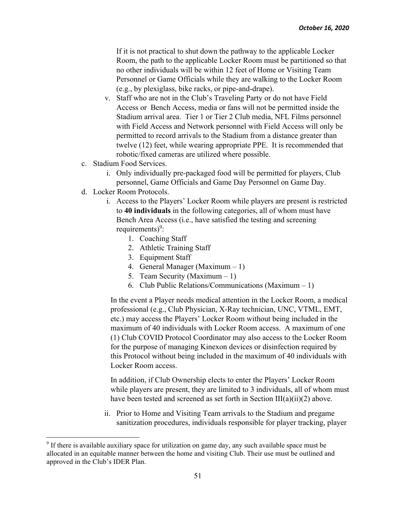If it is not practical to shut down the pathway to the applicable Locker Room, the path to the applicable Locker Room must be partitioned so that no other individuals will be within 12 feet of Home or Visiting Team Personnel or Game Officials while they are walking to the Locker Room (e.g., by plexiglass, bike racks, or pipe-and-drape).

- v. Staff who are not in the Club's Traveling Party or do not have Field Access or Bench Access, media or fans will not be permitted inside the Stadium arrival area. Tier 1 or Tier 2 Club media, NFL Films personnel with Field Access and Network personnel with Field Access will only be permitted to record arrivals to the Stadium from a distance greater than twelve (12) feet, while wearing appropriate PPE. It is recommended that robotic/fixed cameras are utilized where possible.
- c. Stadium Food Services.
	- i. Only individually pre-packaged food will be permitted for players, Club personnel, Game Officials and Game Day Personnel on Game Day.
- d. Locker Room Protocols.
	- i. Access to the Players' Locker Room while players are present is restricted to **40 individuals** in the following categories, all of whom must have Bench Area Access (i.e., have satisfied the testing and screening requirements)<sup>9</sup>:
		- 1. Coaching Staff
		- 2. Athletic Training Staff
		- 3. Equipment Staff
		- 4. General Manager (Maximum 1)
		- 5. Team Security (Maximum 1)
		- 6. Club Public Relations/Communications (Maximum 1)

In the event a Player needs medical attention in the Locker Room, a medical professional (e.g., Club Physician, X-Ray technician, UNC, VTML, EMT, etc.) may access the Players' Locker Room without being included in the maximum of 40 individuals with Locker Room access. A maximum of one (1) Club COVID Protocol Coordinator may also access to the Locker Room for the purpose of managing Kinexon devices or disinfection required by this Protocol without being included in the maximum of 40 individuals with Locker Room access.

In addition, if Club Ownership elects to enter the Players' Locker Room while players are present, they are limited to 3 individuals, all of whom must have been tested and screened as set forth in Section  $III(a)(ii)(2)$  above.

ii. Prior to Home and Visiting Team arrivals to the Stadium and pregame sanitization procedures, individuals responsible for player tracking, player

<sup>&</sup>lt;sup>9</sup> If there is available auxiliary space for utilization on game day, any such available space must be allocated in an equitable manner between the home and visiting Club. Their use must be outlined and approved in the Club's IDER Plan.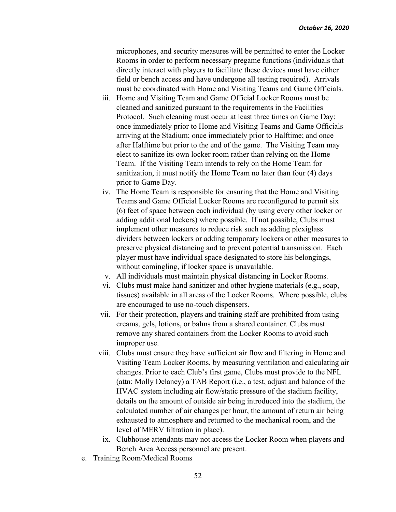microphones, and security measures will be permitted to enter the Locker Rooms in order to perform necessary pregame functions (individuals that directly interact with players to facilitate these devices must have either field or bench access and have undergone all testing required). Arrivals must be coordinated with Home and Visiting Teams and Game Officials.

- iii. Home and Visiting Team and Game Official Locker Rooms must be cleaned and sanitized pursuant to the requirements in the Facilities Protocol. Such cleaning must occur at least three times on Game Day: once immediately prior to Home and Visiting Teams and Game Officials arriving at the Stadium; once immediately prior to Halftime; and once after Halftime but prior to the end of the game. The Visiting Team may elect to sanitize its own locker room rather than relying on the Home Team. If the Visiting Team intends to rely on the Home Team for sanitization, it must notify the Home Team no later than four (4) days prior to Game Day.
- iv. The Home Team is responsible for ensuring that the Home and Visiting Teams and Game Official Locker Rooms are reconfigured to permit six (6) feet of space between each individual (by using every other locker or adding additional lockers) where possible. If not possible, Clubs must implement other measures to reduce risk such as adding plexiglass dividers between lockers or adding temporary lockers or other measures to preserve physical distancing and to prevent potential transmission. Each player must have individual space designated to store his belongings, without comingling, if locker space is unavailable.
- v. All individuals must maintain physical distancing in Locker Rooms.
- vi. Clubs must make hand sanitizer and other hygiene materials (e.g., soap, tissues) available in all areas of the Locker Rooms. Where possible, clubs are encouraged to use no-touch dispensers.
- vii. For their protection, players and training staff are prohibited from using creams, gels, lotions, or balms from a shared container. Clubs must remove any shared containers from the Locker Rooms to avoid such improper use.
- viii. Clubs must ensure they have sufficient air flow and filtering in Home and Visiting Team Locker Rooms, by measuring ventilation and calculating air changes. Prior to each Club's first game, Clubs must provide to the NFL (attn: Molly Delaney) a TAB Report (i.e., a test, adjust and balance of the HVAC system including air flow/static pressure of the stadium facility, details on the amount of outside air being introduced into the stadium, the calculated number of air changes per hour, the amount of return air being exhausted to atmosphere and returned to the mechanical room, and the level of MERV filtration in place).
	- ix. Clubhouse attendants may not access the Locker Room when players and Bench Area Access personnel are present.
- e. Training Room/Medical Rooms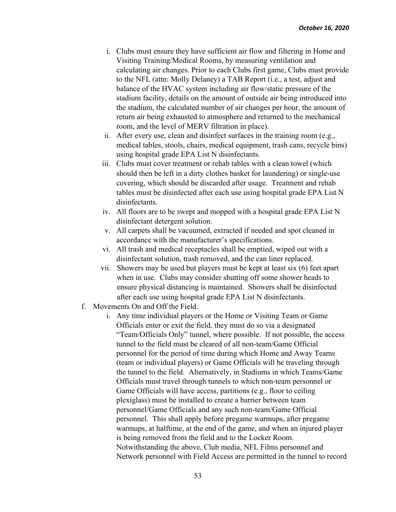- i. Clubs must ensure they have sufficient air flow and filtering in Home and Visiting Training/Medical Rooms, by measuring ventilation and calculating air changes. Prior to each Clubs first game, Clubs must provide to the NFL (attn: Molly Delaney) a TAB Report (i.e., a test, adjust and balance of the HVAC system including air flow/static pressure of the stadium facility, details on the amount of outside air being introduced into the stadium, the calculated number of air changes per hour, the amount of return air being exhausted to atmosphere and returned to the mechanical room, and the level of MERV filtration in place).
- ii. After every use, clean and disinfect surfaces in the training room (e.g., medical tables, stools, chairs, medical equipment, trash cans, recycle bins) using hospital grade EPA List N disinfectants.
- iii. Clubs must cover treatment or rehab tables with a clean towel (which should then be left in a dirty clothes basket for laundering) or single-use covering, which should be discarded after usage. Treatment and rehab tables must be disinfected after each use using hospital grade EPA List N disinfectants.
- iv. All floors are to be swept and mopped with a hospital grade EPA List N disinfectant detergent solution.
- v. All carpets shall be vacuumed, extracted if needed and spot cleaned in accordance with the manufacturer's specifications.
- vi. All trash and medical receptacles shall be emptied, wiped out with a disinfectant solution, trash removed, and the can liner replaced.
- vii. Showers may be used but players must be kept at least six (6) feet apart when in use. Clubs may consider shutting off some shower heads to ensure physical distancing is maintained. Showers shall be disinfected after each use using hospital grade EPA List N disinfectants.
- f. Movements On and Off the Field.
	- i. Any time individual players or the Home or Visiting Team or Game Officials enter or exit the field, they must do so via a designated "Team/Officials Only" tunnel, where possible. If not possible, the access tunnel to the field must be cleared of all non-team/Game Official personnel for the period of time during which Home and Away Teams (team or individual players) or Game Officials will be traveling through the tunnel to the field. Alternatively, in Stadiums in which Teams/Game Officials must travel through tunnels to which non-team personnel or Game Officials will have access, partitions (e.g., floor to ceiling plexiglass) must be installed to create a barrier between team personnel/Game Officials and any such non-team/Game Official personnel. This shall apply before pregame warmups, after pregame warmups, at halftime, at the end of the game, and when an injured player is being removed from the field and to the Locker Room. Notwithstanding the above, Club media, NFL Films personnel and Network personnel with Field Access are permitted in the tunnel to record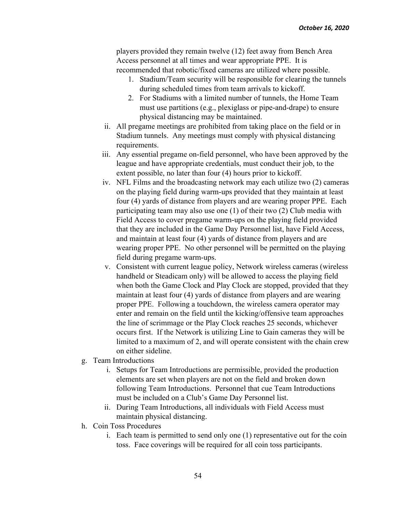players provided they remain twelve (12) feet away from Bench Area Access personnel at all times and wear appropriate PPE. It is recommended that robotic/fixed cameras are utilized where possible.

- 1. Stadium/Team security will be responsible for clearing the tunnels during scheduled times from team arrivals to kickoff.
- 2. For Stadiums with a limited number of tunnels, the Home Team must use partitions (e.g., plexiglass or pipe-and-drape) to ensure physical distancing may be maintained.
- ii. All pregame meetings are prohibited from taking place on the field or in Stadium tunnels. Any meetings must comply with physical distancing requirements.
- iii. Any essential pregame on-field personnel, who have been approved by the league and have appropriate credentials, must conduct their job, to the extent possible, no later than four (4) hours prior to kickoff.
- iv. NFL Films and the broadcasting network may each utilize two (2) cameras on the playing field during warm-ups provided that they maintain at least four (4) yards of distance from players and are wearing proper PPE. Each participating team may also use one (1) of their two (2) Club media with Field Access to cover pregame warm-ups on the playing field provided that they are included in the Game Day Personnel list, have Field Access, and maintain at least four (4) yards of distance from players and are wearing proper PPE. No other personnel will be permitted on the playing field during pregame warm-ups.
- v. Consistent with current league policy, Network wireless cameras (wireless handheld or Steadicam only) will be allowed to access the playing field when both the Game Clock and Play Clock are stopped, provided that they maintain at least four (4) yards of distance from players and are wearing proper PPE. Following a touchdown, the wireless camera operator may enter and remain on the field until the kicking/offensive team approaches the line of scrimmage or the Play Clock reaches 25 seconds, whichever occurs first. If the Network is utilizing Line to Gain cameras they will be limited to a maximum of 2, and will operate consistent with the chain crew on either sideline.
- g. Team Introductions
	- i. Setups for Team Introductions are permissible, provided the production elements are set when players are not on the field and broken down following Team Introductions. Personnel that cue Team Introductions must be included on a Club's Game Day Personnel list.
	- ii. During Team Introductions, all individuals with Field Access must maintain physical distancing.
- h. Coin Toss Procedures
	- i. Each team is permitted to send only one (1) representative out for the coin toss. Face coverings will be required for all coin toss participants.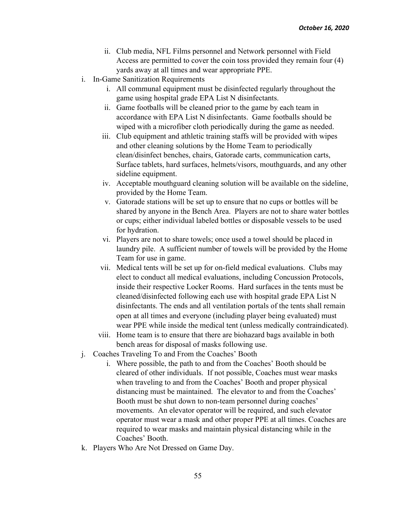- ii. Club media, NFL Films personnel and Network personnel with Field Access are permitted to cover the coin toss provided they remain four (4) yards away at all times and wear appropriate PPE.
- i. In-Game Sanitization Requirements
	- i. All communal equipment must be disinfected regularly throughout the game using hospital grade EPA List N disinfectants.
	- ii. Game footballs will be cleaned prior to the game by each team in accordance with EPA List N disinfectants. Game footballs should be wiped with a microfiber cloth periodically during the game as needed.
	- iii. Club equipment and athletic training staffs will be provided with wipes and other cleaning solutions by the Home Team to periodically clean/disinfect benches, chairs, Gatorade carts, communication carts, Surface tablets, hard surfaces, helmets/visors, mouthguards, and any other sideline equipment.
	- iv. Acceptable mouthguard cleaning solution will be available on the sideline, provided by the Home Team.
	- v. Gatorade stations will be set up to ensure that no cups or bottles will be shared by anyone in the Bench Area. Players are not to share water bottles or cups; either individual labeled bottles or disposable vessels to be used for hydration.
	- vi. Players are not to share towels; once used a towel should be placed in laundry pile. A sufficient number of towels will be provided by the Home Team for use in game.
	- vii. Medical tents will be set up for on-field medical evaluations. Clubs may elect to conduct all medical evaluations, including Concussion Protocols, inside their respective Locker Rooms. Hard surfaces in the tents must be cleaned/disinfected following each use with hospital grade EPA List N disinfectants. The ends and all ventilation portals of the tents shall remain open at all times and everyone (including player being evaluated) must wear PPE while inside the medical tent (unless medically contraindicated).
	- viii. Home team is to ensure that there are biohazard bags available in both bench areas for disposal of masks following use.
- j. Coaches Traveling To and From the Coaches' Booth
	- i. Where possible, the path to and from the Coaches' Booth should be cleared of other individuals. If not possible, Coaches must wear masks when traveling to and from the Coaches' Booth and proper physical distancing must be maintained. The elevator to and from the Coaches' Booth must be shut down to non-team personnel during coaches' movements. An elevator operator will be required, and such elevator operator must wear a mask and other proper PPE at all times. Coaches are required to wear masks and maintain physical distancing while in the Coaches' Booth.
- k. Players Who Are Not Dressed on Game Day.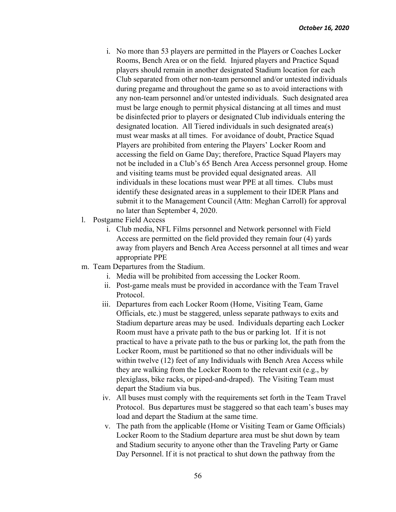- i. No more than 53 players are permitted in the Players or Coaches Locker Rooms, Bench Area or on the field. Injured players and Practice Squad players should remain in another designated Stadium location for each Club separated from other non-team personnel and/or untested individuals during pregame and throughout the game so as to avoid interactions with any non-team personnel and/or untested individuals. Such designated area must be large enough to permit physical distancing at all times and must be disinfected prior to players or designated Club individuals entering the designated location. All Tiered individuals in such designated area(s) must wear masks at all times. For avoidance of doubt, Practice Squad Players are prohibited from entering the Players' Locker Room and accessing the field on Game Day; therefore, Practice Squad Players may not be included in a Club's 65 Bench Area Access personnel group. Home and visiting teams must be provided equal designated areas. All individuals in these locations must wear PPE at all times. Clubs must identify these designated areas in a supplement to their IDER Plans and submit it to the Management Council (Attn: Meghan Carroll) for approval no later than September 4, 2020.
- l. Postgame Field Access
	- i. Club media, NFL Films personnel and Network personnel with Field Access are permitted on the field provided they remain four (4) yards away from players and Bench Area Access personnel at all times and wear appropriate PPE
- m. Team Departures from the Stadium.
	- i. Media will be prohibited from accessing the Locker Room.
	- ii. Post-game meals must be provided in accordance with the Team Travel Protocol.
	- iii. Departures from each Locker Room (Home, Visiting Team, Game Officials, etc.) must be staggered, unless separate pathways to exits and Stadium departure areas may be used. Individuals departing each Locker Room must have a private path to the bus or parking lot. If it is not practical to have a private path to the bus or parking lot, the path from the Locker Room, must be partitioned so that no other individuals will be within twelve (12) feet of any Individuals with Bench Area Access while they are walking from the Locker Room to the relevant exit (e.g., by plexiglass, bike racks, or piped-and-draped). The Visiting Team must depart the Stadium via bus.
	- iv. All buses must comply with the requirements set forth in the Team Travel Protocol. Bus departures must be staggered so that each team's buses may load and depart the Stadium at the same time.
	- v. The path from the applicable (Home or Visiting Team or Game Officials) Locker Room to the Stadium departure area must be shut down by team and Stadium security to anyone other than the Traveling Party or Game Day Personnel. If it is not practical to shut down the pathway from the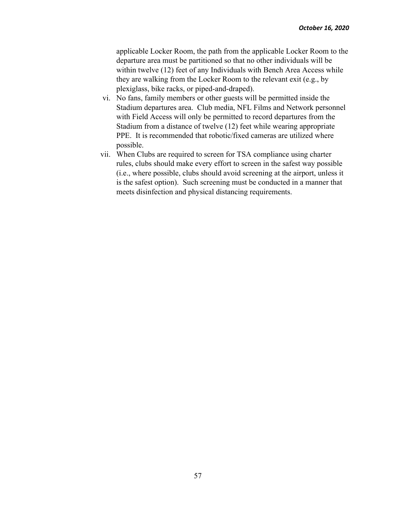applicable Locker Room, the path from the applicable Locker Room to the departure area must be partitioned so that no other individuals will be within twelve (12) feet of any Individuals with Bench Area Access while they are walking from the Locker Room to the relevant exit (e.g., by plexiglass, bike racks, or piped-and-draped).

- vi. No fans, family members or other guests will be permitted inside the Stadium departures area. Club media, NFL Films and Network personnel with Field Access will only be permitted to record departures from the Stadium from a distance of twelve (12) feet while wearing appropriate PPE. It is recommended that robotic/fixed cameras are utilized where possible.
- vii. When Clubs are required to screen for TSA compliance using charter rules, clubs should make every effort to screen in the safest way possible (i.e., where possible, clubs should avoid screening at the airport, unless it is the safest option). Such screening must be conducted in a manner that meets disinfection and physical distancing requirements.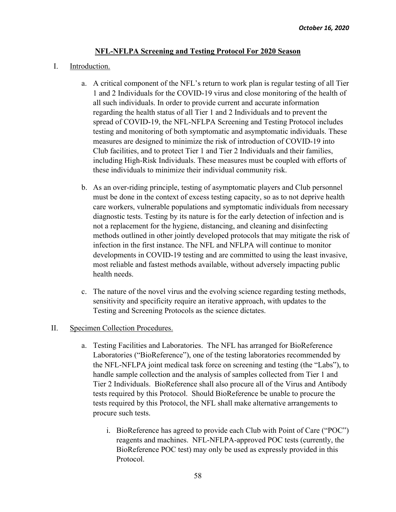### **NFL-NFLPA Screening and Testing Protocol For 2020 Season**

#### I. Introduction.

- a. A critical component of the NFL's return to work plan is regular testing of all Tier 1 and 2 Individuals for the COVID-19 virus and close monitoring of the health of all such individuals. In order to provide current and accurate information regarding the health status of all Tier 1 and 2 Individuals and to prevent the spread of COVID-19, the NFL-NFLPA Screening and Testing Protocol includes testing and monitoring of both symptomatic and asymptomatic individuals. These measures are designed to minimize the risk of introduction of COVID-19 into Club facilities, and to protect Tier 1 and Tier 2 Individuals and their families, including High-Risk Individuals. These measures must be coupled with efforts of these individuals to minimize their individual community risk.
- b. As an over-riding principle, testing of asymptomatic players and Club personnel must be done in the context of excess testing capacity, so as to not deprive health care workers, vulnerable populations and symptomatic individuals from necessary diagnostic tests. Testing by its nature is for the early detection of infection and is not a replacement for the hygiene, distancing, and cleaning and disinfecting methods outlined in other jointly developed protocols that may mitigate the risk of infection in the first instance. The NFL and NFLPA will continue to monitor developments in COVID-19 testing and are committed to using the least invasive, most reliable and fastest methods available, without adversely impacting public health needs.
- c. The nature of the novel virus and the evolving science regarding testing methods, sensitivity and specificity require an iterative approach, with updates to the Testing and Screening Protocols as the science dictates.

### II. Specimen Collection Procedures.

- a. Testing Facilities and Laboratories. The NFL has arranged for BioReference Laboratories ("BioReference"), one of the testing laboratories recommended by the NFL-NFLPA joint medical task force on screening and testing (the "Labs"), to handle sample collection and the analysis of samples collected from Tier 1 and Tier 2 Individuals. BioReference shall also procure all of the Virus and Antibody tests required by this Protocol. Should BioReference be unable to procure the tests required by this Protocol, the NFL shall make alternative arrangements to procure such tests.
	- i. BioReference has agreed to provide each Club with Point of Care ("POC") reagents and machines. NFL-NFLPA-approved POC tests (currently, the BioReference POC test) may only be used as expressly provided in this Protocol.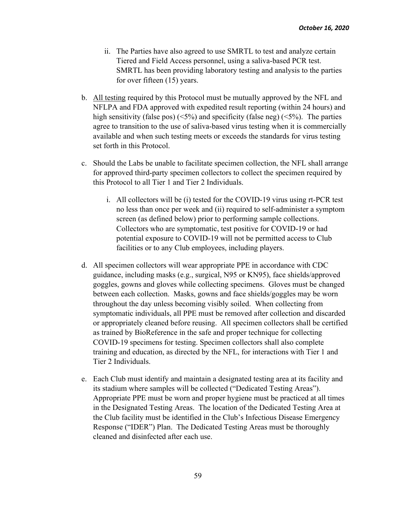- ii. The Parties have also agreed to use SMRTL to test and analyze certain Tiered and Field Access personnel, using a saliva-based PCR test. SMRTL has been providing laboratory testing and analysis to the parties for over fifteen (15) years.
- b. All testing required by this Protocol must be mutually approved by the NFL and NFLPA and FDA approved with expedited result reporting (within 24 hours) and high sensitivity (false pos)  $(5\%)$  and specificity (false neg)  $(5\%)$ . The parties agree to transition to the use of saliva-based virus testing when it is commercially available and when such testing meets or exceeds the standards for virus testing set forth in this Protocol.
- c. Should the Labs be unable to facilitate specimen collection, the NFL shall arrange for approved third-party specimen collectors to collect the specimen required by this Protocol to all Tier 1 and Tier 2 Individuals.
	- i. All collectors will be (i) tested for the COVID-19 virus using rt-PCR test no less than once per week and (ii) required to self-administer a symptom screen (as defined below) prior to performing sample collections. Collectors who are symptomatic, test positive for COVID-19 or had potential exposure to COVID-19 will not be permitted access to Club facilities or to any Club employees, including players.
- d. All specimen collectors will wear appropriate PPE in accordance with CDC guidance, including masks (e.g., surgical, N95 or KN95), face shields/approved goggles, gowns and gloves while collecting specimens. Gloves must be changed between each collection. Masks, gowns and face shields/goggles may be worn throughout the day unless becoming visibly soiled. When collecting from symptomatic individuals, all PPE must be removed after collection and discarded or appropriately cleaned before reusing. All specimen collectors shall be certified as trained by BioReference in the safe and proper technique for collecting COVID-19 specimens for testing. Specimen collectors shall also complete training and education, as directed by the NFL, for interactions with Tier 1 and Tier 2 Individuals.
- e. Each Club must identify and maintain a designated testing area at its facility and its stadium where samples will be collected ("Dedicated Testing Areas"). Appropriate PPE must be worn and proper hygiene must be practiced at all times in the Designated Testing Areas. The location of the Dedicated Testing Area at the Club facility must be identified in the Club's Infectious Disease Emergency Response ("IDER") Plan. The Dedicated Testing Areas must be thoroughly cleaned and disinfected after each use.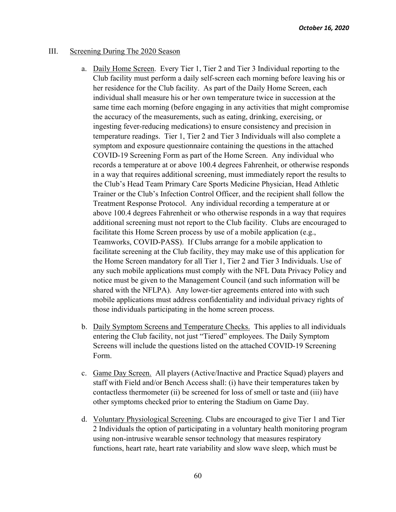### III. Screening During The 2020 Season

- a. Daily Home Screen. Every Tier 1, Tier 2 and Tier 3 Individual reporting to the Club facility must perform a daily self-screen each morning before leaving his or her residence for the Club facility. As part of the Daily Home Screen, each individual shall measure his or her own temperature twice in succession at the same time each morning (before engaging in any activities that might compromise the accuracy of the measurements, such as eating, drinking, exercising, or ingesting fever-reducing medications) to ensure consistency and precision in temperature readings. Tier 1, Tier 2 and Tier 3 Individuals will also complete a symptom and exposure questionnaire containing the questions in the attached COVID-19 Screening Form as part of the Home Screen. Any individual who records a temperature at or above 100.4 degrees Fahrenheit, or otherwise responds in a way that requires additional screening, must immediately report the results to the Club's Head Team Primary Care Sports Medicine Physician, Head Athletic Trainer or the Club's Infection Control Officer, and the recipient shall follow the Treatment Response Protocol. Any individual recording a temperature at or above 100.4 degrees Fahrenheit or who otherwise responds in a way that requires additional screening must not report to the Club facility. Clubs are encouraged to facilitate this Home Screen process by use of a mobile application (e.g., Teamworks, COVID-PASS). If Clubs arrange for a mobile application to facilitate screening at the Club facility, they may make use of this application for the Home Screen mandatory for all Tier 1, Tier 2 and Tier 3 Individuals. Use of any such mobile applications must comply with the NFL Data Privacy Policy and notice must be given to the Management Council (and such information will be shared with the NFLPA). Any lower-tier agreements entered into with such mobile applications must address confidentiality and individual privacy rights of those individuals participating in the home screen process.
- b. Daily Symptom Screens and Temperature Checks. This applies to all individuals entering the Club facility, not just "Tiered" employees. The Daily Symptom Screens will include the questions listed on the attached COVID-19 Screening Form.
- c. Game Day Screen. All players (Active/Inactive and Practice Squad) players and staff with Field and/or Bench Access shall: (i) have their temperatures taken by contactless thermometer (ii) be screened for loss of smell or taste and (iii) have other symptoms checked prior to entering the Stadium on Game Day.
- d. Voluntary Physiological Screening. Clubs are encouraged to give Tier 1 and Tier 2 Individuals the option of participating in a voluntary health monitoring program using non-intrusive wearable sensor technology that measures respiratory functions, heart rate, heart rate variability and slow wave sleep, which must be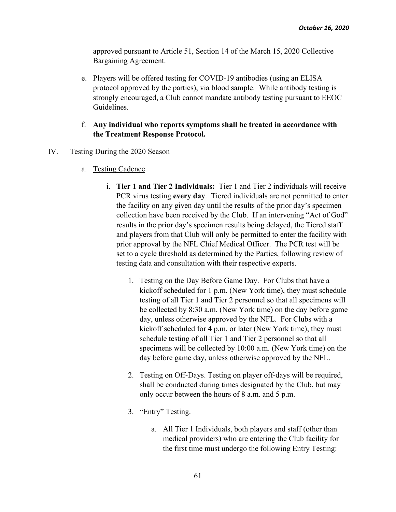approved pursuant to Article 51, Section 14 of the March 15, 2020 Collective Bargaining Agreement.

e. Players will be offered testing for COVID-19 antibodies (using an ELISA protocol approved by the parties), via blood sample. While antibody testing is strongly encouraged, a Club cannot mandate antibody testing pursuant to EEOC Guidelines.

# f. **Any individual who reports symptoms shall be treated in accordance with the Treatment Response Protocol.**

## IV. Testing During the 2020 Season

- a. Testing Cadence.
	- i. **Tier 1 and Tier 2 Individuals:** Tier 1 and Tier 2 individuals will receive PCR virus testing **every day**. Tiered individuals are not permitted to enter the facility on any given day until the results of the prior day's specimen collection have been received by the Club. If an intervening "Act of God" results in the prior day's specimen results being delayed, the Tiered staff and players from that Club will only be permitted to enter the facility with prior approval by the NFL Chief Medical Officer. The PCR test will be set to a cycle threshold as determined by the Parties, following review of testing data and consultation with their respective experts.
		- 1. Testing on the Day Before Game Day. For Clubs that have a kickoff scheduled for 1 p.m. (New York time), they must schedule testing of all Tier 1 and Tier 2 personnel so that all specimens will be collected by 8:30 a.m. (New York time) on the day before game day, unless otherwise approved by the NFL. For Clubs with a kickoff scheduled for 4 p.m. or later (New York time), they must schedule testing of all Tier 1 and Tier 2 personnel so that all specimens will be collected by 10:00 a.m. (New York time) on the day before game day, unless otherwise approved by the NFL.
		- 2. Testing on Off-Days. Testing on player off-days will be required, shall be conducted during times designated by the Club, but may only occur between the hours of 8 a.m. and 5 p.m.
		- 3. "Entry" Testing.
			- a. All Tier 1 Individuals, both players and staff (other than medical providers) who are entering the Club facility for the first time must undergo the following Entry Testing: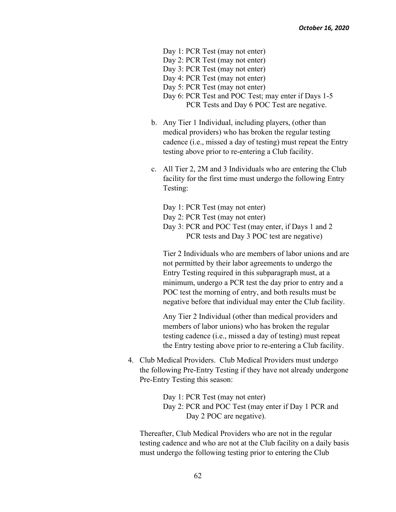- Day 1: PCR Test (may not enter)
- Day 2: PCR Test (may not enter)
- Day 3: PCR Test (may not enter)
- Day 4: PCR Test (may not enter)
- Day 5: PCR Test (may not enter)
- Day 6: PCR Test and POC Test; may enter if Days 1-5 PCR Tests and Day 6 POC Test are negative.
- b. Any Tier 1 Individual, including players, (other than medical providers) who has broken the regular testing cadence (i.e., missed a day of testing) must repeat the Entry testing above prior to re-entering a Club facility.
- c. All Tier 2, 2M and 3 Individuals who are entering the Club facility for the first time must undergo the following Entry Testing:
	- Day 1: PCR Test (may not enter)
	- Day 2: PCR Test (may not enter)
	- Day 3: PCR and POC Test (may enter, if Days 1 and 2 PCR tests and Day 3 POC test are negative)

 Tier 2 Individuals who are members of labor unions and are not permitted by their labor agreements to undergo the Entry Testing required in this subparagraph must, at a minimum, undergo a PCR test the day prior to entry and a POC test the morning of entry, and both results must be negative before that individual may enter the Club facility.

 Any Tier 2 Individual (other than medical providers and members of labor unions) who has broken the regular testing cadence (i.e., missed a day of testing) must repeat the Entry testing above prior to re-entering a Club facility.

4. Club Medical Providers. Club Medical Providers must undergo the following Pre-Entry Testing if they have not already undergone Pre-Entry Testing this season:

> Day 1: PCR Test (may not enter) Day 2: PCR and POC Test (may enter if Day 1 PCR and Day 2 POC are negative).

Thereafter, Club Medical Providers who are not in the regular testing cadence and who are not at the Club facility on a daily basis must undergo the following testing prior to entering the Club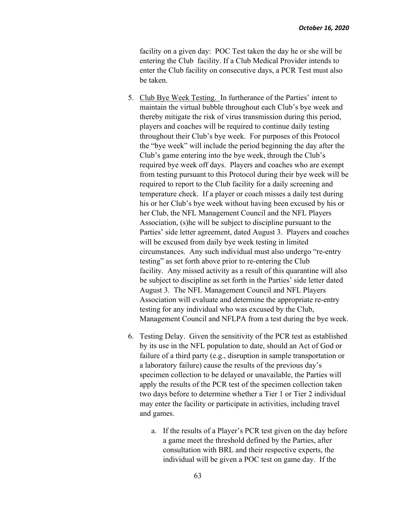facility on a given day: POC Test taken the day he or she will be entering the Club facility. If a Club Medical Provider intends to enter the Club facility on consecutive days, a PCR Test must also be taken.

- 5. Club Bye Week Testing. In furtherance of the Parties' intent to maintain the virtual bubble throughout each Club's bye week and thereby mitigate the risk of virus transmission during this period, players and coaches will be required to continue daily testing throughout their Club's bye week. For purposes of this Protocol the "bye week" will include the period beginning the day after the Club's game entering into the bye week, through the Club's required bye week off days. Players and coaches who are exempt from testing pursuant to this Protocol during their bye week will be required to report to the Club facility for a daily screening and temperature check. If a player or coach misses a daily test during his or her Club's bye week without having been excused by his or her Club, the NFL Management Council and the NFL Players Association, (s)he will be subject to discipline pursuant to the Parties' side letter agreement, dated August 3. Players and coaches will be excused from daily bye week testing in limited circumstances. Any such individual must also undergo "re-entry testing" as set forth above prior to re-entering the Club facility. Any missed activity as a result of this quarantine will also be subject to discipline as set forth in the Parties' side letter dated August 3. The NFL Management Council and NFL Players Association will evaluate and determine the appropriate re-entry testing for any individual who was excused by the Club, Management Council and NFLPA from a test during the bye week.
- 6. Testing Delay. Given the sensitivity of the PCR test as established by its use in the NFL population to date, should an Act of God or failure of a third party (e.g., disruption in sample transportation or a laboratory failure) cause the results of the previous day's specimen collection to be delayed or unavailable, the Parties will apply the results of the PCR test of the specimen collection taken two days before to determine whether a Tier 1 or Tier 2 individual may enter the facility or participate in activities, including travel and games.
	- a. If the results of a Player's PCR test given on the day before a game meet the threshold defined by the Parties, after consultation with BRL and their respective experts, the individual will be given a POC test on game day. If the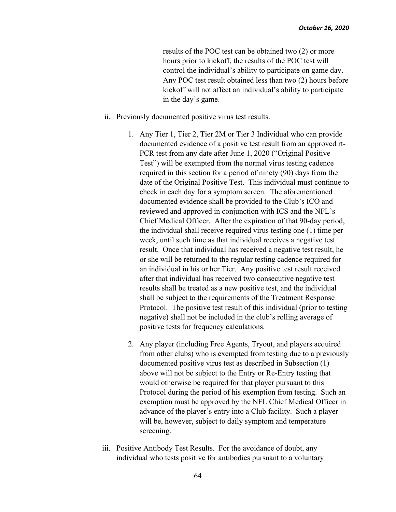results of the POC test can be obtained two (2) or more hours prior to kickoff, the results of the POC test will control the individual's ability to participate on game day. Any POC test result obtained less than two (2) hours before kickoff will not affect an individual's ability to participate in the day's game.

- ii. Previously documented positive virus test results.
	- 1. Any Tier 1, Tier 2, Tier 2M or Tier 3 Individual who can provide documented evidence of a positive test result from an approved rt-PCR test from any date after June 1, 2020 ("Original Positive Test") will be exempted from the normal virus testing cadence required in this section for a period of ninety (90) days from the date of the Original Positive Test. This individual must continue to check in each day for a symptom screen. The aforementioned documented evidence shall be provided to the Club's ICO and reviewed and approved in conjunction with ICS and the NFL's Chief Medical Officer. After the expiration of that 90-day period, the individual shall receive required virus testing one (1) time per week, until such time as that individual receives a negative test result. Once that individual has received a negative test result, he or she will be returned to the regular testing cadence required for an individual in his or her Tier. Any positive test result received after that individual has received two consecutive negative test results shall be treated as a new positive test, and the individual shall be subject to the requirements of the Treatment Response Protocol. The positive test result of this individual (prior to testing negative) shall not be included in the club's rolling average of positive tests for frequency calculations.
	- 2. Any player (including Free Agents, Tryout, and players acquired from other clubs) who is exempted from testing due to a previously documented positive virus test as described in Subsection (1) above will not be subject to the Entry or Re-Entry testing that would otherwise be required for that player pursuant to this Protocol during the period of his exemption from testing. Such an exemption must be approved by the NFL Chief Medical Officer in advance of the player's entry into a Club facility. Such a player will be, however, subject to daily symptom and temperature screening.
- iii. Positive Antibody Test Results. For the avoidance of doubt, any individual who tests positive for antibodies pursuant to a voluntary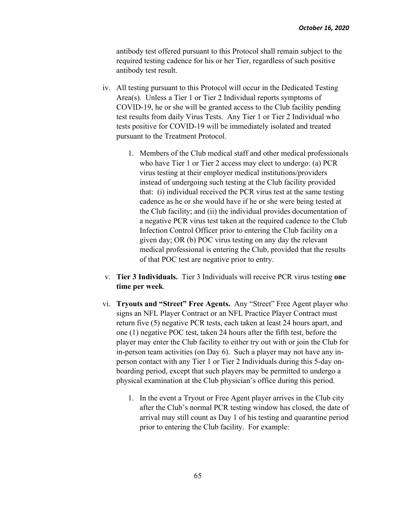antibody test offered pursuant to this Protocol shall remain subject to the required testing cadence for his or her Tier, regardless of such positive antibody test result.

- iv. All testing pursuant to this Protocol will occur in the Dedicated Testing Area(s). Unless a Tier 1 or Tier 2 Individual reports symptoms of COVID-19, he or she will be granted access to the Club facility pending test results from daily Virus Tests. Any Tier 1 or Tier 2 Individual who tests positive for COVID-19 will be immediately isolated and treated pursuant to the Treatment Protocol.
	- 1. Members of the Club medical staff and other medical professionals who have Tier 1 or Tier 2 access may elect to undergo: (a) PCR virus testing at their employer medical institutions/providers instead of undergoing such testing at the Club facility provided that: (i) individual received the PCR virus test at the same testing cadence as he or she would have if he or she were being tested at the Club facility; and (ii) the individual provides documentation of a negative PCR virus test taken at the required cadence to the Club Infection Control Officer prior to entering the Club facility on a given day; OR (b) POC virus testing on any day the relevant medical professional is entering the Club, provided that the results of that POC test are negative prior to entry.
- v. **Tier 3 Individuals.** Tier 3 Individuals will receive PCR virus testing **one time per week**.
- vi. **Tryouts and "Street" Free Agents.** Any "Street" Free Agent player who signs an NFL Player Contract or an NFL Practice Player Contract must return five (5) negative PCR tests, each taken at least 24 hours apart, and one (1) negative POC test, taken 24 hours after the fifth test, before the player may enter the Club facility to either try out with or join the Club for in-person team activities (on Day 6). Such a player may not have any inperson contact with any Tier 1 or Tier 2 Individuals during this 5-day onboarding period, except that such players may be permitted to undergo a physical examination at the Club physician's office during this period.
	- 1. In the event a Tryout or Free Agent player arrives in the Club city after the Club's normal PCR testing window has closed, the date of arrival may still count as Day 1 of his testing and quarantine period prior to entering the Club facility. For example: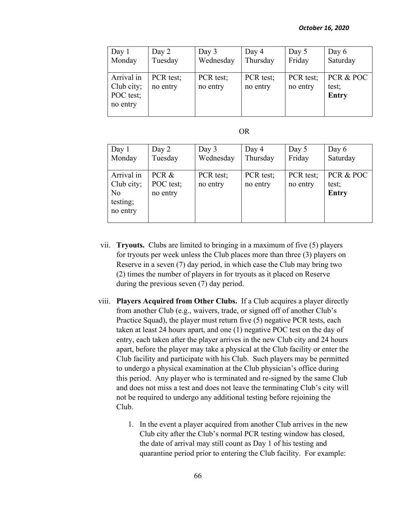| Day $1$    | Day 2     | Day 3     | Day 4     | Day 5     | Day 6        |
|------------|-----------|-----------|-----------|-----------|--------------|
| Monday     | Tuesday   | Wednesday | Thursday  | Friday    | Saturday     |
|            |           |           |           |           |              |
| Arrival in | PCR test; | PCR test; | PCR test; | PCR test; | PCR & POC    |
| Club city; | no entry  | no entry  | no entry  | no entry  | test;        |
| POC test;  |           |           |           |           | <b>Entry</b> |
| no entry   |           |           |           |           |              |
|            |           |           |           |           |              |

| ×<br>۰, |
|---------|
|---------|

| Day 1                                                  | Day 2                          | Day 3                 | Day 4                 | Day 5                 | Day 6                       |
|--------------------------------------------------------|--------------------------------|-----------------------|-----------------------|-----------------------|-----------------------------|
| Monday                                                 | Tuesday                        | Wednesday             | Thursday              | Friday                | Saturday                    |
| Arrival in<br>Club city;<br>No<br>testing;<br>no entry | PCR &<br>POC test;<br>no entry | PCR test;<br>no entry | PCR test;<br>no entry | PCR test;<br>no entry | PCR & POC<br>test;<br>Entry |

- vii. **Tryouts.** Clubs are limited to bringing in a maximum of five (5) players for tryouts per week unless the Club places more than three (3) players on Reserve in a seven (7) day period, in which case the Club may bring two (2) times the number of players in for tryouts as it placed on Reserve during the previous seven (7) day period.
- viii. **Players Acquired from Other Clubs.** If a Club acquires a player directly from another Club (e.g., waivers, trade, or signed off of another Club's Practice Squad), the player must return five (5) negative PCR tests, each taken at least 24 hours apart, and one (1) negative POC test on the day of entry, each taken after the player arrives in the new Club city and 24 hours apart, before the player may take a physical at the Club facility or enter the Club facility and participate with his Club. Such players may be permitted to undergo a physical examination at the Club physician's office during this period. Any player who is terminated and re-signed by the same Club and does not miss a test and does not leave the terminating Club's city will not be required to undergo any additional testing before rejoining the Club.
	- 1. In the event a player acquired from another Club arrives in the new Club city after the Club's normal PCR testing window has closed, the date of arrival may still count as Day 1 of his testing and quarantine period prior to entering the Club facility. For example: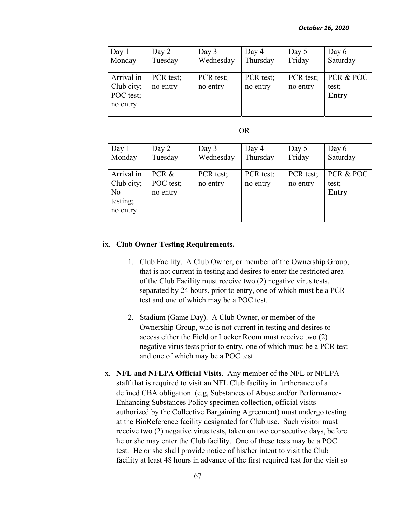| Day $1$    | Day 2     | Day 3     | Day 4     | Day 5     | Day 6        |
|------------|-----------|-----------|-----------|-----------|--------------|
| Monday     | Tuesday   | Wednesday | Thursday  | Friday    | Saturday     |
|            |           |           |           |           |              |
| Arrival in | PCR test; | PCR test; | PCR test; | PCR test; | PCR & POC    |
| Club city; | no entry  | no entry  | no entry  | no entry  | test;        |
| POC test;  |           |           |           |           | <b>Entry</b> |
| no entry   |           |           |           |           |              |
|            |           |           |           |           |              |

| ×<br>۰, |
|---------|
|---------|

| Day 1<br>Monday | Day 2<br>Tuesday | Day 3<br>Wednesday | Day 4<br>Thursday | Day 5<br>Friday | Day 6<br>Saturday |
|-----------------|------------------|--------------------|-------------------|-----------------|-------------------|
|                 |                  |                    |                   |                 |                   |
| Arrival in      | PCR &            | PCR test;          | PCR test;         | PCR test;       | PCR & POC         |
| Club city;      | POC test;        | no entry           | no entry          | no entry        | test;             |
| No              | no entry         |                    |                   |                 | <b>Entry</b>      |
| testing;        |                  |                    |                   |                 |                   |
| no entry        |                  |                    |                   |                 |                   |
|                 |                  |                    |                   |                 |                   |

#### ix. **Club Owner Testing Requirements.**

- 1. Club Facility. A Club Owner, or member of the Ownership Group, that is not current in testing and desires to enter the restricted area of the Club Facility must receive two (2) negative virus tests, separated by 24 hours, prior to entry, one of which must be a PCR test and one of which may be a POC test.
- 2. Stadium (Game Day). A Club Owner, or member of the Ownership Group, who is not current in testing and desires to access either the Field or Locker Room must receive two (2) negative virus tests prior to entry, one of which must be a PCR test and one of which may be a POC test.
- x. **NFL and NFLPA Official Visits**. Any member of the NFL or NFLPA staff that is required to visit an NFL Club facility in furtherance of a defined CBA obligation (e.g, Substances of Abuse and/or Performance-Enhancing Substances Policy specimen collection, official visits authorized by the Collective Bargaining Agreement) must undergo testing at the BioReference facility designated for Club use. Such visitor must receive two (2) negative virus tests, taken on two consecutive days, before he or she may enter the Club facility. One of these tests may be a POC test. He or she shall provide notice of his/her intent to visit the Club facility at least 48 hours in advance of the first required test for the visit so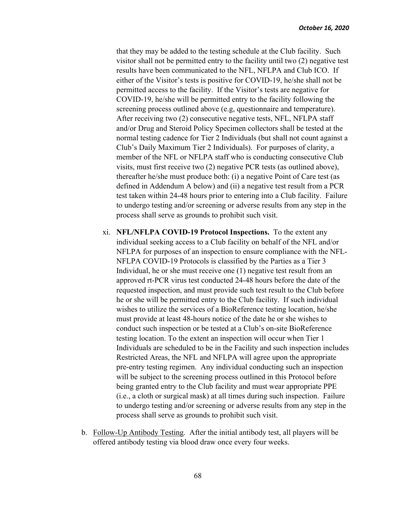that they may be added to the testing schedule at the Club facility. Such visitor shall not be permitted entry to the facility until two (2) negative test results have been communicated to the NFL, NFLPA and Club ICO. If either of the Visitor's tests is positive for COVID-19, he/she shall not be permitted access to the facility. If the Visitor's tests are negative for COVID-19, he/she will be permitted entry to the facility following the screening process outlined above (e.g, questionnaire and temperature). After receiving two (2) consecutive negative tests, NFL, NFLPA staff and/or Drug and Steroid Policy Specimen collectors shall be tested at the normal testing cadence for Tier 2 Individuals (but shall not count against a Club's Daily Maximum Tier 2 Individuals). For purposes of clarity, a member of the NFL or NFLPA staff who is conducting consecutive Club visits, must first receive two (2) negative PCR tests (as outlined above), thereafter he/she must produce both: (i) a negative Point of Care test (as defined in Addendum A below) and (ii) a negative test result from a PCR test taken within 24-48 hours prior to entering into a Club facility. Failure to undergo testing and/or screening or adverse results from any step in the process shall serve as grounds to prohibit such visit.

- xi. **NFL/NFLPA COVID-19 Protocol Inspections.** To the extent any individual seeking access to a Club facility on behalf of the NFL and/or NFLPA for purposes of an inspection to ensure compliance with the NFL-NFLPA COVID-19 Protocols is classified by the Parties as a Tier 3 Individual, he or she must receive one (1) negative test result from an approved rt-PCR virus test conducted 24-48 hours before the date of the requested inspection, and must provide such test result to the Club before he or she will be permitted entry to the Club facility. If such individual wishes to utilize the services of a BioReference testing location, he/she must provide at least 48-hours notice of the date he or she wishes to conduct such inspection or be tested at a Club's on-site BioReference testing location. To the extent an inspection will occur when Tier 1 Individuals are scheduled to be in the Facility and such inspection includes Restricted Areas, the NFL and NFLPA will agree upon the appropriate pre-entry testing regimen. Any individual conducting such an inspection will be subject to the screening process outlined in this Protocol before being granted entry to the Club facility and must wear appropriate PPE (i.e., a cloth or surgical mask) at all times during such inspection. Failure to undergo testing and/or screening or adverse results from any step in the process shall serve as grounds to prohibit such visit.
- b. Follow-Up Antibody Testing. After the initial antibody test, all players will be offered antibody testing via blood draw once every four weeks.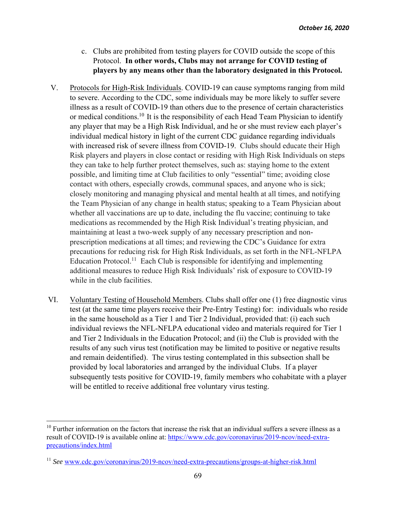- c. Clubs are prohibited from testing players for COVID outside the scope of this Protocol. **In other words, Clubs may not arrange for COVID testing of players by any means other than the laboratory designated in this Protocol.**
- V. Protocols for High-Risk Individuals. COVID-19 can cause symptoms ranging from mild to severe. According to the CDC, some individuals may be more likely to suffer severe illness as a result of COVID-19 than others due to the presence of certain characteristics or medical conditions.<sup>10</sup> It is the responsibility of each Head Team Physician to identify any player that may be a High Risk Individual, and he or she must review each player's individual medical history in light of the current CDC guidance regarding individuals with increased risk of severe illness from COVID-19. Clubs should educate their High Risk players and players in close contact or residing with High Risk Individuals on steps they can take to help further protect themselves, such as: staying home to the extent possible, and limiting time at Club facilities to only "essential" time; avoiding close contact with others, especially crowds, communal spaces, and anyone who is sick; closely monitoring and managing physical and mental health at all times, and notifying the Team Physician of any change in health status; speaking to a Team Physician about whether all vaccinations are up to date, including the flu vaccine; continuing to take medications as recommended by the High Risk Individual's treating physician, and maintaining at least a two-week supply of any necessary prescription and nonprescription medications at all times; and reviewing the CDC's Guidance for extra precautions for reducing risk for High Risk Individuals, as set forth in the NFL-NFLPA Education Protocol.<sup>11</sup> Each Club is responsible for identifying and implementing additional measures to reduce High Risk Individuals' risk of exposure to COVID-19 while in the club facilities.
- VI. Voluntary Testing of Household Members. Clubs shall offer one (1) free diagnostic virus test (at the same time players receive their Pre-Entry Testing) for: individuals who reside in the same household as a Tier 1 and Tier 2 Individual, provided that: (i) each such individual reviews the NFL-NFLPA educational video and materials required for Tier 1 and Tier 2 Individuals in the Education Protocol; and (ii) the Club is provided with the results of any such virus test (notification may be limited to positive or negative results and remain deidentified). The virus testing contemplated in this subsection shall be provided by local laboratories and arranged by the individual Clubs. If a player subsequently tests positive for COVID-19, family members who cohabitate with a player will be entitled to receive additional free voluntary virus testing.

<sup>&</sup>lt;sup>10</sup> Further information on the factors that increase the risk that an individual suffers a severe illness as a result of COVID-19 is available online at: https://www.cdc.gov/coronavirus/2019-ncov/need-extraprecautions/index.html

<sup>11</sup> *See* www.cdc.gov/coronavirus/2019-ncov/need-extra-precautions/groups-at-higher-risk.html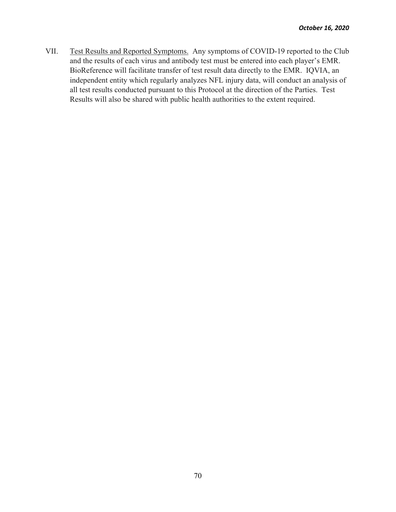VII. Test Results and Reported Symptoms. Any symptoms of COVID-19 reported to the Club and the results of each virus and antibody test must be entered into each player's EMR. BioReference will facilitate transfer of test result data directly to the EMR. IQVIA, an independent entity which regularly analyzes NFL injury data, will conduct an analysis of all test results conducted pursuant to this Protocol at the direction of the Parties. Test Results will also be shared with public health authorities to the extent required.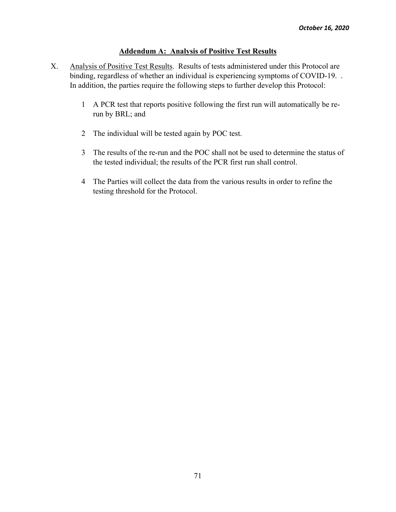### **Addendum A: Analysis of Positive Test Results**

- X. Analysis of Positive Test Results. Results of tests administered under this Protocol are binding, regardless of whether an individual is experiencing symptoms of COVID-19. . In addition, the parties require the following steps to further develop this Protocol:
	- 1 A PCR test that reports positive following the first run will automatically be rerun by BRL; and
	- 2 The individual will be tested again by POC test.
	- 3 The results of the re-run and the POC shall not be used to determine the status of the tested individual; the results of the PCR first run shall control.
	- 4 The Parties will collect the data from the various results in order to refine the testing threshold for the Protocol.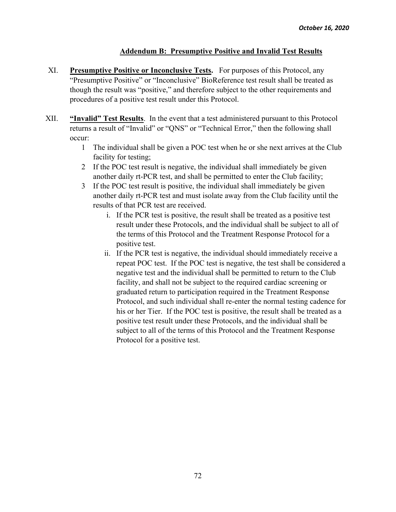### **Addendum B: Presumptive Positive and Invalid Test Results**

- XI. **Presumptive Positive or Inconclusive Tests.** For purposes of this Protocol, any "Presumptive Positive" or "Inconclusive" BioReference test result shall be treated as though the result was "positive," and therefore subject to the other requirements and procedures of a positive test result under this Protocol.
- XII. **"Invalid" Test Results**. In the event that a test administered pursuant to this Protocol returns a result of "Invalid" or "QNS" or "Technical Error," then the following shall occur:
	- 1 The individual shall be given a POC test when he or she next arrives at the Club facility for testing;
	- 2 If the POC test result is negative, the individual shall immediately be given another daily rt-PCR test, and shall be permitted to enter the Club facility;
	- 3 If the POC test result is positive, the individual shall immediately be given another daily rt-PCR test and must isolate away from the Club facility until the results of that PCR test are received.
		- i. If the PCR test is positive, the result shall be treated as a positive test result under these Protocols, and the individual shall be subject to all of the terms of this Protocol and the Treatment Response Protocol for a positive test.
		- ii. If the PCR test is negative, the individual should immediately receive a repeat POC test. If the POC test is negative, the test shall be considered a negative test and the individual shall be permitted to return to the Club facility, and shall not be subject to the required cardiac screening or graduated return to participation required in the Treatment Response Protocol, and such individual shall re-enter the normal testing cadence for his or her Tier. If the POC test is positive, the result shall be treated as a positive test result under these Protocols, and the individual shall be subject to all of the terms of this Protocol and the Treatment Response Protocol for a positive test.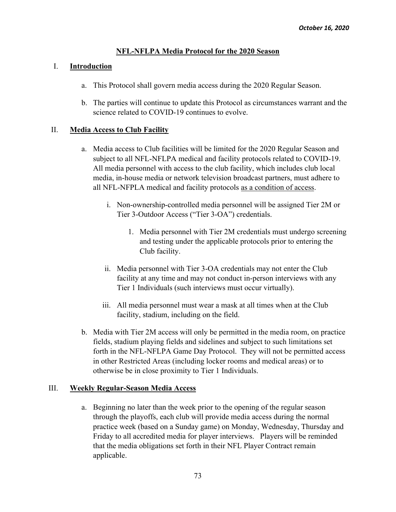# **NFL-NFLPA Media Protocol for the 2020 Season**

# I. **Introduction**

- a. This Protocol shall govern media access during the 2020 Regular Season.
- b. The parties will continue to update this Protocol as circumstances warrant and the science related to COVID-19 continues to evolve.

# II. **Media Access to Club Facility**

- a. Media access to Club facilities will be limited for the 2020 Regular Season and subject to all NFL-NFLPA medical and facility protocols related to COVID-19. All media personnel with access to the club facility, which includes club local media, in-house media or network television broadcast partners, must adhere to all NFL-NFPLA medical and facility protocols as a condition of access.
	- i. Non-ownership-controlled media personnel will be assigned Tier 2M or Tier 3-Outdoor Access ("Tier 3-OA") credentials.
		- 1. Media personnel with Tier 2M credentials must undergo screening and testing under the applicable protocols prior to entering the Club facility.
	- ii. Media personnel with Tier 3-OA credentials may not enter the Club facility at any time and may not conduct in-person interviews with any Tier 1 Individuals (such interviews must occur virtually).
	- iii. All media personnel must wear a mask at all times when at the Club facility, stadium, including on the field.
- b. Media with Tier 2M access will only be permitted in the media room, on practice fields, stadium playing fields and sidelines and subject to such limitations set forth in the NFL-NFLPA Game Day Protocol. They will not be permitted access in other Restricted Areas (including locker rooms and medical areas) or to otherwise be in close proximity to Tier 1 Individuals.

## III. **Weekly Regular-Season Media Access**

a. Beginning no later than the week prior to the opening of the regular season through the playoffs, each club will provide media access during the normal practice week (based on a Sunday game) on Monday, Wednesday, Thursday and Friday to all accredited media for player interviews. Players will be reminded that the media obligations set forth in their NFL Player Contract remain applicable.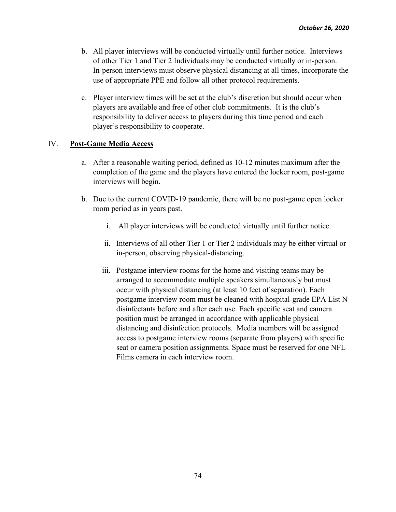- b. All player interviews will be conducted virtually until further notice. Interviews of other Tier 1 and Tier 2 Individuals may be conducted virtually or in-person. In-person interviews must observe physical distancing at all times, incorporate the use of appropriate PPE and follow all other protocol requirements.
- c. Player interview times will be set at the club's discretion but should occur when players are available and free of other club commitments. It is the club's responsibility to deliver access to players during this time period and each player's responsibility to cooperate.

#### IV. **Post-Game Media Access**

- a. After a reasonable waiting period, defined as 10-12 minutes maximum after the completion of the game and the players have entered the locker room, post-game interviews will begin.
- b. Due to the current COVID-19 pandemic, there will be no post-game open locker room period as in years past.
	- i. All player interviews will be conducted virtually until further notice.
	- ii. Interviews of all other Tier 1 or Tier 2 individuals may be either virtual or in-person, observing physical-distancing.
	- iii. Postgame interview rooms for the home and visiting teams may be arranged to accommodate multiple speakers simultaneously but must occur with physical distancing (at least 10 feet of separation). Each postgame interview room must be cleaned with hospital-grade EPA List N disinfectants before and after each use. Each specific seat and camera position must be arranged in accordance with applicable physical distancing and disinfection protocols. Media members will be assigned access to postgame interview rooms (separate from players) with specific seat or camera position assignments. Space must be reserved for one NFL Films camera in each interview room.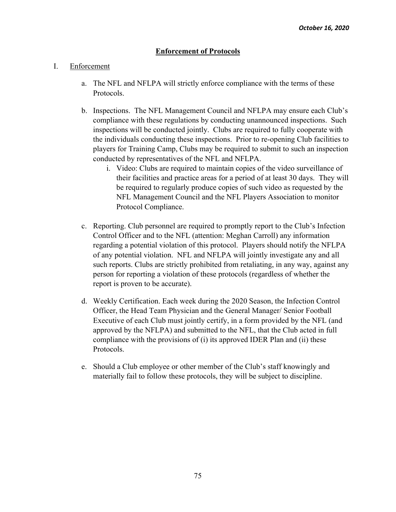# **Enforcement of Protocols**

#### I. Enforcement

- a. The NFL and NFLPA will strictly enforce compliance with the terms of these Protocols.
- b. Inspections. The NFL Management Council and NFLPA may ensure each Club's compliance with these regulations by conducting unannounced inspections. Such inspections will be conducted jointly. Clubs are required to fully cooperate with the individuals conducting these inspections. Prior to re-opening Club facilities to players for Training Camp, Clubs may be required to submit to such an inspection conducted by representatives of the NFL and NFLPA.
	- i. Video: Clubs are required to maintain copies of the video surveillance of their facilities and practice areas for a period of at least 30 days. They will be required to regularly produce copies of such video as requested by the NFL Management Council and the NFL Players Association to monitor Protocol Compliance.
- c. Reporting. Club personnel are required to promptly report to the Club's Infection Control Officer and to the NFL (attention: Meghan Carroll) any information regarding a potential violation of this protocol. Players should notify the NFLPA of any potential violation. NFL and NFLPA will jointly investigate any and all such reports. Clubs are strictly prohibited from retaliating, in any way, against any person for reporting a violation of these protocols (regardless of whether the report is proven to be accurate).
- d. Weekly Certification. Each week during the 2020 Season, the Infection Control Officer, the Head Team Physician and the General Manager/ Senior Football Executive of each Club must jointly certify, in a form provided by the NFL (and approved by the NFLPA) and submitted to the NFL, that the Club acted in full compliance with the provisions of (i) its approved IDER Plan and (ii) these Protocols.
- e. Should a Club employee or other member of the Club's staff knowingly and materially fail to follow these protocols, they will be subject to discipline.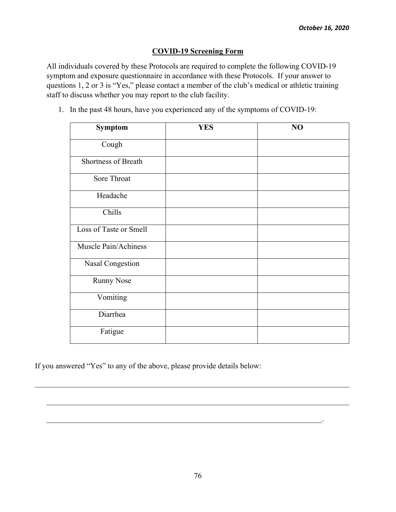### **COVID-19 Screening Form**

All individuals covered by these Protocols are required to complete the following COVID-19 symptom and exposure questionnaire in accordance with these Protocols. If your answer to questions 1, 2 or 3 is "Yes," please contact a member of the club's medical or athletic training staff to discuss whether you may report to the club facility.

| Symptom                | <b>YES</b> | NO |
|------------------------|------------|----|
| Cough                  |            |    |
| Shortness of Breath    |            |    |
| Sore Throat            |            |    |
| Headache               |            |    |
| Chills                 |            |    |
| Loss of Taste or Smell |            |    |
| Muscle Pain/Achiness   |            |    |
| Nasal Congestion       |            |    |
| <b>Runny Nose</b>      |            |    |
| Vomiting               |            |    |
| Diarrhea               |            |    |
| Fatigue                |            |    |

1. In the past 48 hours, have you experienced any of the symptoms of COVID-19:

If you answered "Yes" to any of the above, please provide details below:

 $\_$  , and the set of the set of the set of the set of the set of the set of the set of the set of the set of the set of the set of the set of the set of the set of the set of the set of the set of the set of the set of th

 $\mathcal{L}_\text{max} = \mathcal{L}_\text{max} = \mathcal{L}_\text{max} = \mathcal{L}_\text{max} = \mathcal{L}_\text{max} = \mathcal{L}_\text{max} = \mathcal{L}_\text{max} = \mathcal{L}_\text{max} = \mathcal{L}_\text{max} = \mathcal{L}_\text{max} = \mathcal{L}_\text{max} = \mathcal{L}_\text{max} = \mathcal{L}_\text{max} = \mathcal{L}_\text{max} = \mathcal{L}_\text{max} = \mathcal{L}_\text{max} = \mathcal{L}_\text{max} = \mathcal{L}_\text{max} = \mathcal{$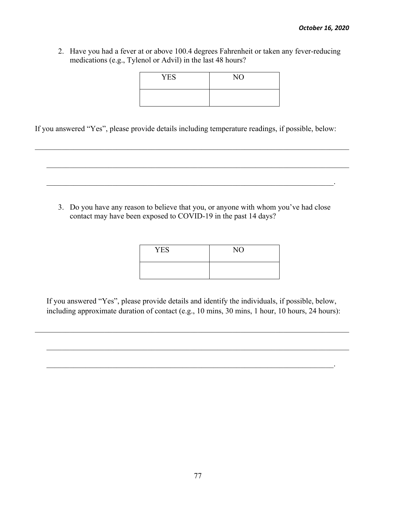2. Have you had a fever at or above 100.4 degrees Fahrenheit or taken any fever-reducing medications (e.g., Tylenol or Advil) in the last 48 hours?

| <b>YES</b> | NO |
|------------|----|
|            |    |

If you answered "Yes", please provide details including temperature readings, if possible, below:



| <b>YES</b> | NO |
|------------|----|
|            |    |

\_\_\_\_\_\_\_\_\_\_\_\_\_\_\_\_\_\_\_\_\_\_\_\_\_\_\_\_\_\_\_\_\_\_\_\_\_\_\_\_\_\_\_\_\_\_\_\_\_\_\_\_\_\_\_\_\_\_\_\_\_\_\_\_\_\_\_\_\_\_\_\_\_\_.

If you answered "Yes", please provide details and identify the individuals, if possible, below, including approximate duration of contact (e.g., 10 mins, 30 mins, 1 hour, 10 hours, 24 hours):

 $\mathcal{L}_\mathcal{L} = \mathcal{L}_\mathcal{L} = \mathcal{L}_\mathcal{L} = \mathcal{L}_\mathcal{L} = \mathcal{L}_\mathcal{L} = \mathcal{L}_\mathcal{L} = \mathcal{L}_\mathcal{L} = \mathcal{L}_\mathcal{L} = \mathcal{L}_\mathcal{L} = \mathcal{L}_\mathcal{L} = \mathcal{L}_\mathcal{L} = \mathcal{L}_\mathcal{L} = \mathcal{L}_\mathcal{L} = \mathcal{L}_\mathcal{L} = \mathcal{L}_\mathcal{L} = \mathcal{L}_\mathcal{L} = \mathcal{L}_\mathcal{L}$